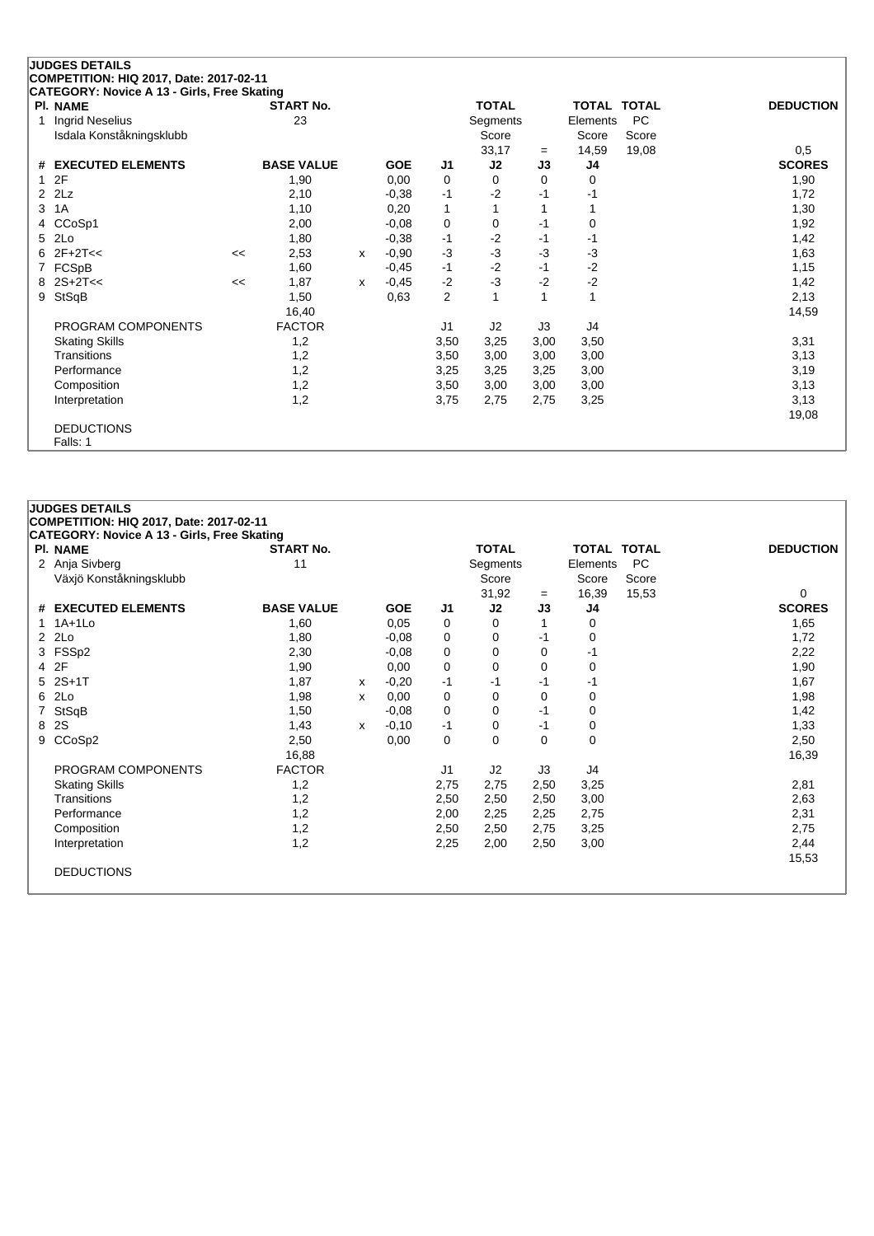## **JUDGES DETAILS COMPETITION: HIQ 2017, Date: 2017-02-11 CATEGORY: Novice A 13 - Girls, Free Skating**

|              | PI. NAME                 |    | <b>START No.</b>  |   |            |                | <b>TOTAL</b> |      | <b>TOTAL TOTAL</b> |           | <b>DEDUCTION</b> |
|--------------|--------------------------|----|-------------------|---|------------|----------------|--------------|------|--------------------|-----------|------------------|
| $\mathbf{1}$ | <b>Ingrid Neselius</b>   |    | 23                |   |            |                | Segments     |      | Elements           | <b>PC</b> |                  |
|              | Isdala Konståkningsklubb |    |                   |   |            |                | Score        |      | Score              | Score     |                  |
|              |                          |    |                   |   |            |                | 33,17        | $=$  | 14,59              | 19,08     | 0,5              |
|              | # EXECUTED ELEMENTS      |    | <b>BASE VALUE</b> |   | <b>GOE</b> | J1             | J2           | J3   | J4                 |           | <b>SCORES</b>    |
| $\mathbf{1}$ | 2F                       |    | 1,90              |   | 0,00       | 0              | 0            | 0    | 0                  |           | 1,90             |
|              | 2 2Lz                    |    | 2,10              |   | $-0,38$    | $-1$           | $-2$         | $-1$ | $-1$               |           | 1,72             |
| 3            | 1A                       |    | 1,10              |   | 0,20       | 1              |              |      |                    |           | 1,30             |
| 4            | CCoSp1                   |    | 2,00              |   | $-0.08$    | 0              | 0            | $-1$ | 0                  |           | 1,92             |
| 5            | 2Lo                      |    | 1,80              |   | $-0.38$    | $-1$           | $-2$         | -1   | -1                 |           | 1,42             |
| 6            | $2F+2T<<$                | << | 2,53              | X | $-0,90$    | $-3$           | $-3$         | $-3$ | $-3$               |           | 1,63             |
|              | FCSpB                    |    | 1,60              |   | $-0,45$    | $-1$           | $-2$         | $-1$ | $-2$               |           | 1,15             |
|              | $8 \ 2S + 2T <<$         | << | 1,87              | x | $-0,45$    | $-2$           | $-3$         | $-2$ | $-2$               |           | 1,42             |
| 9            | StSqB                    |    | 1,50              |   | 0,63       | $\overline{2}$ |              |      | 1                  |           | 2,13             |
|              |                          |    | 16,40             |   |            |                |              |      |                    |           | 14,59            |
|              | PROGRAM COMPONENTS       |    | <b>FACTOR</b>     |   |            | J1             | J2           | JЗ   | J4                 |           |                  |
|              | <b>Skating Skills</b>    |    | 1,2               |   |            | 3,50           | 3,25         | 3,00 | 3,50               |           | 3,31             |
|              | <b>Transitions</b>       |    | 1,2               |   |            | 3,50           | 3,00         | 3,00 | 3,00               |           | 3,13             |
|              | Performance              |    | 1,2               |   |            | 3,25           | 3,25         | 3,25 | 3,00               |           | 3,19             |
|              | Composition              |    | 1,2               |   |            | 3,50           | 3,00         | 3,00 | 3,00               |           | 3,13             |
|              | Interpretation           |    | 1,2               |   |            | 3,75           | 2,75         | 2,75 | 3,25               |           | 3,13             |
|              |                          |    |                   |   |            |                |              |      |                    |           | 19,08            |
|              | <b>DEDUCTIONS</b>        |    |                   |   |            |                |              |      |                    |           |                  |
|              | Falls: 1                 |    |                   |   |            |                |              |      |                    |           |                  |

| <b>JUDGES DETAILS</b>                                                                         |                   |   |            |                |              |      |             |           |                  |
|-----------------------------------------------------------------------------------------------|-------------------|---|------------|----------------|--------------|------|-------------|-----------|------------------|
| COMPETITION: HIQ 2017, Date: 2017-02-11<br><b>CATEGORY: Novice A 13 - Girls, Free Skating</b> |                   |   |            |                |              |      |             |           |                  |
| <b>PI. NAME</b>                                                                               | <b>START No.</b>  |   |            |                | <b>TOTAL</b> |      | TOTAL TOTAL |           | <b>DEDUCTION</b> |
| 2 Anja Sivberg                                                                                | 11                |   |            |                | Segments     |      | Elements    | <b>PC</b> |                  |
| Växjö Konståkningsklubb                                                                       |                   |   |            |                | Score        |      | Score       | Score     |                  |
|                                                                                               |                   |   |            |                | 31,92        | $=$  | 16,39       | 15,53     | 0                |
| # EXECUTED ELEMENTS                                                                           | <b>BASE VALUE</b> |   | <b>GOE</b> | J1             | J2           | J3   | J4          |           | <b>SCORES</b>    |
| $1A+1L0$                                                                                      | 1,60              |   | 0,05       | 0              | 0            |      | 0           |           | 1,65             |
| $2$ $2Lo$                                                                                     | 1,80              |   | $-0,08$    | 0              | 0            | -1   | 0           |           | 1,72             |
| 3 FSSp2                                                                                       | 2,30              |   | $-0,08$    | 0              | 0            | 0    | -1          |           | 2,22             |
| 4 2F                                                                                          | 1,90              |   | 0,00       | 0              | 0            | 0    | 0           |           | 1,90             |
| 5 2S+1T                                                                                       | 1,87              | x | $-0,20$    | -1             | $-1$         | $-1$ | -1          |           | 1,67             |
| 6 2Lo                                                                                         | 1,98              | X | 0,00       | 0              | 0            | 0    | $\mathbf 0$ |           | 1,98             |
| 7 StSqB                                                                                       | 1,50              |   | $-0.08$    | 0              | $\mathbf 0$  | -1   | 0           |           | 1,42             |
| 8 2S                                                                                          | 1,43              | X | $-0,10$    | -1             | 0            | $-1$ | 0           |           | 1,33             |
| 9 CCoSp2                                                                                      | 2,50              |   | 0,00       | 0              | $\mathbf 0$  | 0    | $\mathbf 0$ |           | 2,50             |
|                                                                                               | 16,88             |   |            |                |              |      |             |           | 16,39            |
| PROGRAM COMPONENTS                                                                            | <b>FACTOR</b>     |   |            | J <sub>1</sub> | J2           | J3   | J4          |           |                  |
| <b>Skating Skills</b>                                                                         | 1,2               |   |            | 2,75           | 2,75         | 2,50 | 3,25        |           | 2,81             |
| Transitions                                                                                   | 1,2               |   |            | 2,50           | 2,50         | 2,50 | 3,00        |           | 2,63             |
| Performance                                                                                   | 1,2               |   |            | 2,00           | 2,25         | 2,25 | 2,75        |           | 2,31             |
| Composition                                                                                   | 1,2               |   |            | 2,50           | 2,50         | 2,75 | 3,25        |           | 2,75             |
| Interpretation                                                                                | 1,2               |   |            | 2,25           | 2,00         | 2,50 | 3,00        |           | 2,44             |
|                                                                                               |                   |   |            |                |              |      |             |           | 15,53            |
| <b>DEDUCTIONS</b>                                                                             |                   |   |            |                |              |      |             |           |                  |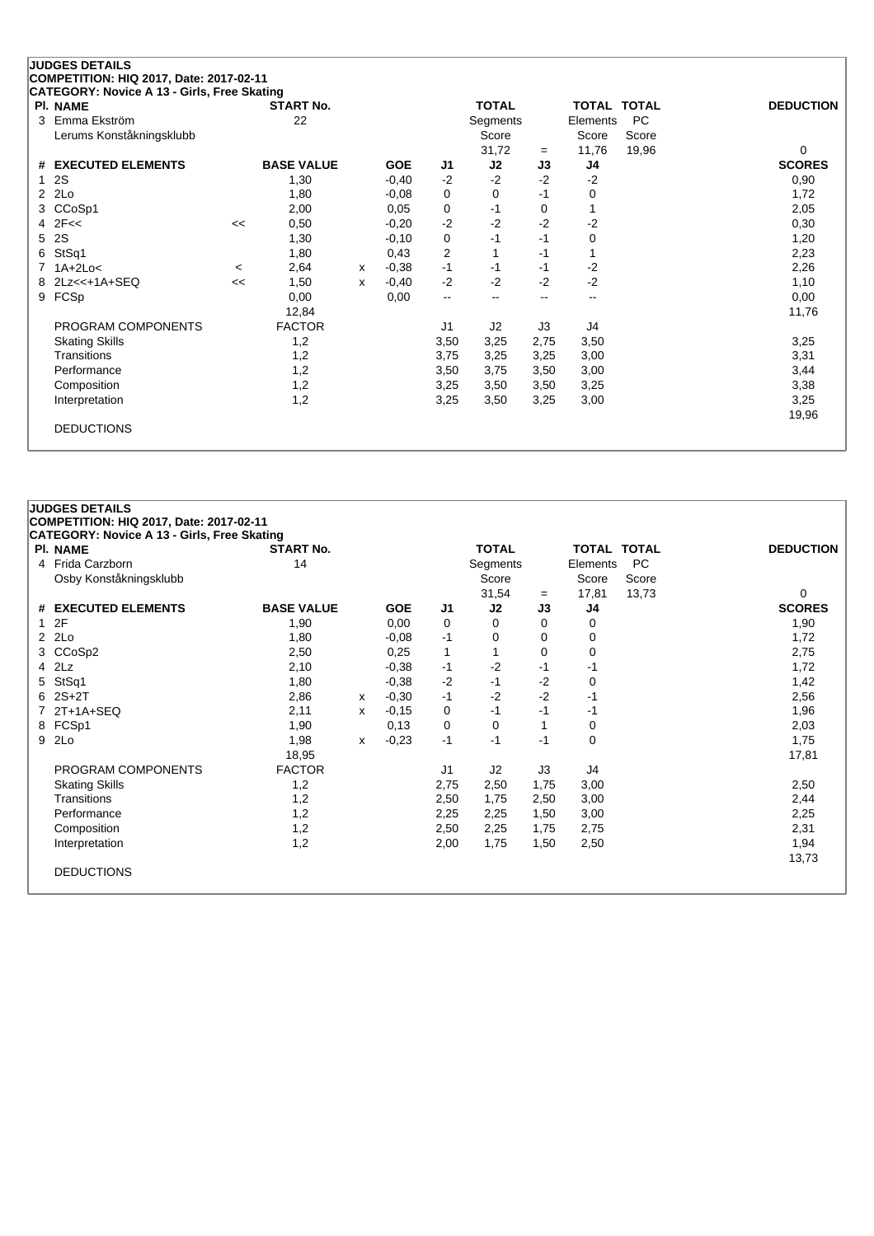## **JUDGES DETAILS COMPETITION: HIQ 2017, Date: 2017-02-11 CATEGORY: Novice A 13 - Girls, Free Skating**

|              | . <del>.</del><br>$5.10, 1.00$ $5.00$<br><b>PI. NAME</b> |         | <b>START No.</b>  |   |            |                          | <b>TOTAL</b>             |      | TOTAL TOTAL |           | <b>DEDUCTION</b> |
|--------------|----------------------------------------------------------|---------|-------------------|---|------------|--------------------------|--------------------------|------|-------------|-----------|------------------|
|              | 3 Emma Ekström                                           |         | 22                |   |            |                          | Segments                 |      | Elements    | <b>PC</b> |                  |
|              | Lerums Konståkningsklubb                                 |         |                   |   |            |                          | Score                    |      | Score       | Score     |                  |
|              |                                                          |         |                   |   |            |                          | 31,72                    | $=$  | 11,76       | 19,96     | 0                |
|              | # EXECUTED ELEMENTS                                      |         | <b>BASE VALUE</b> |   | <b>GOE</b> | J1                       | J <sub>2</sub>           | J3   | J4          |           | <b>SCORES</b>    |
| 1            | <b>2S</b>                                                |         | 1,30              |   | $-0,40$    | $-2$                     | $-2$                     | $-2$ | $-2$        |           | 0,90             |
| $\mathbf{2}$ | 2Lo                                                      |         | 1,80              |   | $-0.08$    | 0                        | 0                        | $-1$ | 0           |           | 1,72             |
| 3            | CCoSp1                                                   |         | 2,00              |   | 0,05       | 0                        | -1                       | 0    |             |           | 2,05             |
|              | $4$ $2F <$                                               | <<      | 0,50              |   | $-0,20$    | $-2$                     | $-2$                     | $-2$ | $-2$        |           | 0,30             |
|              | 5 2S                                                     |         | 1,30              |   | $-0,10$    | 0                        | -1                       | -1   | 0           |           | 1,20             |
| 6.           | StSq1                                                    |         | 1,80              |   | 0,43       | 2                        | 1                        | -1   |             |           | 2,23             |
|              | 7 1A+2Lo<                                                | $\,<\,$ | 2,64              | x | $-0,38$    | $-1$                     | -1                       | -1   | $-2$        |           | 2,26             |
|              | 8 2Lz<<+1A+SEQ                                           | <<      | 1,50              | x | $-0,40$    | $-2$                     | $-2$                     | $-2$ | $-2$        |           | 1,10             |
| 9            | FCSp                                                     |         | 0,00              |   | 0,00       | $\overline{\phantom{a}}$ | $\overline{\phantom{a}}$ | --   | --          |           | 0,00             |
|              |                                                          |         | 12,84             |   |            |                          |                          |      |             |           | 11,76            |
|              | PROGRAM COMPONENTS                                       |         | <b>FACTOR</b>     |   |            | J <sub>1</sub>           | J2                       | J3   | J4          |           |                  |
|              | <b>Skating Skills</b>                                    |         | 1,2               |   |            | 3,50                     | 3,25                     | 2,75 | 3,50        |           | 3,25             |
|              | <b>Transitions</b>                                       |         | 1,2               |   |            | 3,75                     | 3,25                     | 3,25 | 3,00        |           | 3,31             |
|              | Performance                                              |         | 1,2               |   |            | 3,50                     | 3,75                     | 3,50 | 3,00        |           | 3,44             |
|              | Composition                                              |         | 1,2               |   |            | 3,25                     | 3,50                     | 3,50 | 3,25        |           | 3,38             |
|              | Interpretation                                           |         | 1,2               |   |            | 3,25                     | 3,50                     | 3,25 | 3,00        |           | 3,25             |
|              |                                                          |         |                   |   |            |                          |                          |      |             |           | 19,96            |
|              | <b>DEDUCTIONS</b>                                        |         |                   |   |            |                          |                          |      |             |           |                  |

|  | <b>JUDGES DETAILS</b> |
|--|-----------------------|
|--|-----------------------|

| PI. NAME               | <b>START No.</b>  |   |            |                | <b>TOTAL</b> |      | <b>TOTAL TOTAL</b> |           | <b>DEDUCTION</b> |
|------------------------|-------------------|---|------------|----------------|--------------|------|--------------------|-----------|------------------|
| 4 Frida Carzborn       | 14                |   |            |                | Segments     |      | Elements           | <b>PC</b> |                  |
| Osby Konståkningsklubb |                   |   |            |                | Score        |      | Score              | Score     |                  |
|                        |                   |   |            |                | 31,54        | $=$  | 17,81              | 13,73     | 0                |
| # EXECUTED ELEMENTS    | <b>BASE VALUE</b> |   | <b>GOE</b> | J <sub>1</sub> | J2           | J3   | J4                 |           | <b>SCORES</b>    |
| 12F                    | 1,90              |   | 0,00       | 0              | 0            | 0    | 0                  |           | 1,90             |
| $2$ $2Lo$              | 1,80              |   | $-0,08$    | $-1$           | 0            | 0    | 0                  |           | 1,72             |
| 3 CCoSp2               | 2,50              |   | 0,25       | 1              |              | 0    | 0                  |           | 2,75             |
| 4 2Lz                  | 2,10              |   | $-0,38$    | $-1$           | $-2$         | -1   | -1                 |           | 1,72             |
| 5 StSq1                | 1,80              |   | $-0.38$    | $-2$           | $-1$         | -2   | 0                  |           | 1,42             |
| $62S+2T$               | 2,86              | x | $-0,30$    | $-1$           | $-2$         | $-2$ | -1                 |           | 2,56             |
| 7 2T+1A+SEQ            | 2,11              | x | $-0,15$    | 0              | -1           | -1   | -1                 |           | 1,96             |
| 8 FCSp1                | 1,90              |   | 0,13       | 0              | 0            |      | 0                  |           | 2,03             |
| 9 2Lo                  | 1,98              | x | $-0,23$    | $-1$           | -1           | -1   | 0                  |           | 1,75             |
|                        | 18,95             |   |            |                |              |      |                    |           | 17,81            |
| PROGRAM COMPONENTS     | <b>FACTOR</b>     |   |            | J1             | J2           | J3   | J4                 |           |                  |
| <b>Skating Skills</b>  | 1,2               |   |            | 2,75           | 2,50         | 1,75 | 3,00               |           | 2,50             |
| Transitions            | 1,2               |   |            | 2,50           | 1,75         | 2,50 | 3,00               |           | 2,44             |
| Performance            | 1,2               |   |            | 2,25           | 2,25         | 1,50 | 3,00               |           | 2,25             |
| Composition            | 1,2               |   |            | 2,50           | 2,25         | 1,75 | 2,75               |           | 2,31             |
| Interpretation         | 1,2               |   |            | 2,00           | 1,75         | 1,50 | 2,50               |           | 1,94             |
|                        |                   |   |            |                |              |      |                    |           | 13,73            |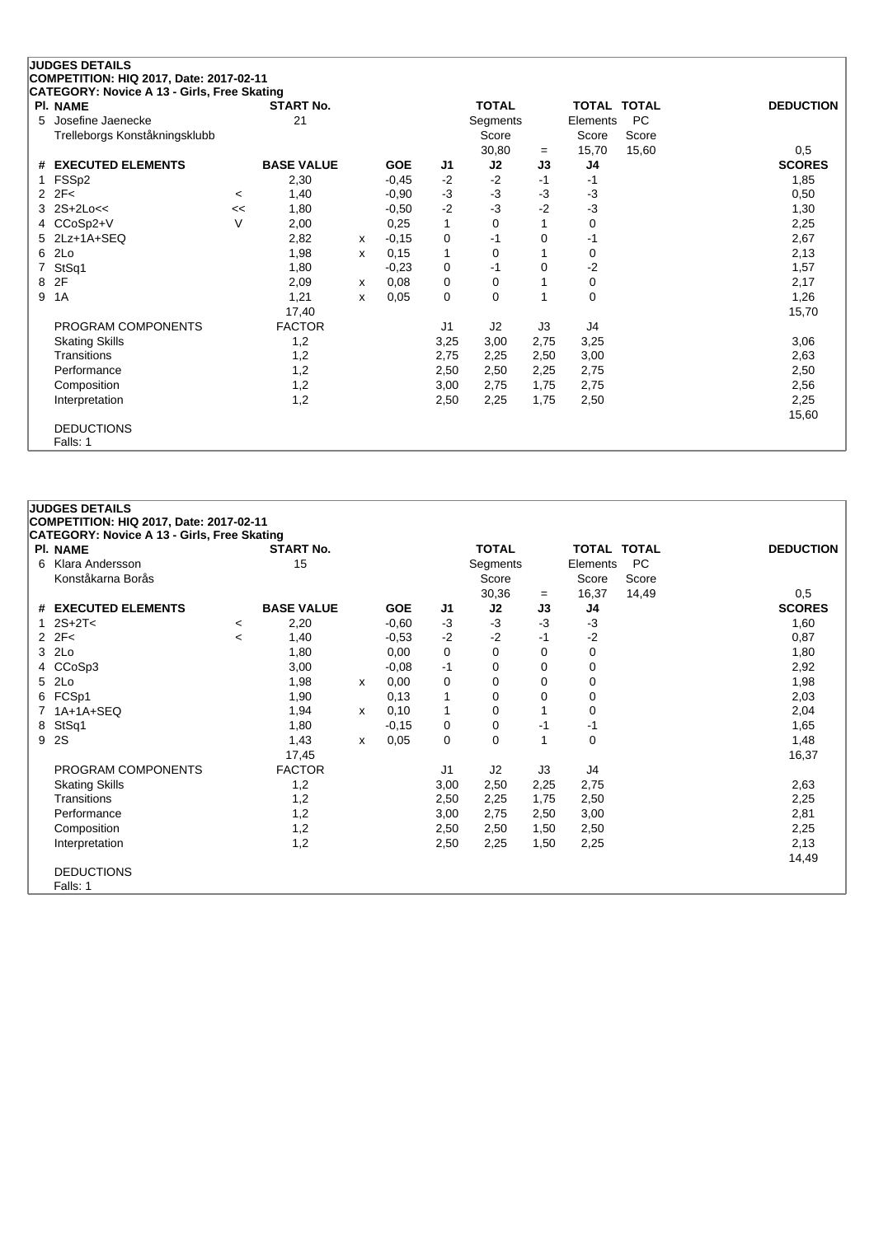|   | <b>JUDGES DETAILS</b>                       |         |                   |              |            |      |              |      |                    |           |                  |
|---|---------------------------------------------|---------|-------------------|--------------|------------|------|--------------|------|--------------------|-----------|------------------|
|   | COMPETITION: HIQ 2017, Date: 2017-02-11     |         |                   |              |            |      |              |      |                    |           |                  |
|   | CATEGORY: Novice A 13 - Girls, Free Skating |         |                   |              |            |      |              |      |                    |           |                  |
|   | <b>PI. NAME</b>                             |         | <b>START No.</b>  |              |            |      | <b>TOTAL</b> |      | <b>TOTAL TOTAL</b> |           | <b>DEDUCTION</b> |
| 5 | Josefine Jaenecke                           |         | 21                |              |            |      | Segments     |      | Elements           | <b>PC</b> |                  |
|   | Trelleborgs Konståkningsklubb               |         |                   |              |            |      | Score        |      | Score              | Score     |                  |
|   |                                             |         |                   |              |            |      | 30,80        | $=$  | 15,70              | 15,60     | 0,5              |
| # | <b>EXECUTED ELEMENTS</b>                    |         | <b>BASE VALUE</b> |              | <b>GOE</b> | J1.  | J2           | J3   | J4                 |           | <b>SCORES</b>    |
|   | FSSp2                                       |         | 2,30              |              | $-0,45$    | $-2$ | $-2$         | $-1$ | $-1$               |           | 1,85             |
| 2 | 2F<                                         | $\,<\,$ | 1,40              |              | $-0,90$    | $-3$ | $-3$         | $-3$ | $-3$               |           | 0,50             |
| 3 | $2S+2Loc<$                                  | <<      | 1,80              |              | $-0.50$    | $-2$ | $-3$         | $-2$ | $-3$               |           | 1,30             |
| 4 | CCoSp2+V                                    | $\vee$  | 2,00              |              | 0,25       | 1    | $\Omega$     |      | 0                  |           | 2,25             |
|   | 2Lz+1A+SEQ                                  |         | 2,82              | X            | $-0,15$    | 0    | -1           | 0    | -1                 |           | 2,67             |
| 6 | 2Lo                                         |         | 1,98              | $\mathsf{x}$ | 0,15       | 1    | $\Omega$     |      | 0                  |           | 2,13             |
| 7 | StSq1                                       |         | 1,80              |              | $-0,23$    | 0    | $-1$         | 0    | $-2$               |           | 1,57             |
| 8 | 2F                                          |         | 2,09              | $\mathsf{x}$ | 0,08       | 0    | 0            |      | 0                  |           | 2,17             |
| 9 | 1A                                          |         | 1,21              | x            | 0,05       | 0    | $\Omega$     |      | $\mathbf 0$        |           | 1,26             |
|   |                                             |         | 17,40             |              |            |      |              |      |                    |           | 15,70            |
|   | PROGRAM COMPONENTS                          |         | <b>FACTOR</b>     |              |            | J1   | J2           | J3   | J4                 |           |                  |
|   | <b>Skating Skills</b>                       |         | 1,2               |              |            | 3,25 | 3,00         | 2,75 | 3,25               |           | 3,06             |
|   | Transitions                                 |         | 1,2               |              |            | 2,75 | 2,25         | 2,50 | 3,00               |           | 2,63             |
|   | Performance                                 |         | 1,2               |              |            | 2,50 | 2,50         | 2,25 | 2,75               |           | 2,50             |
|   | Composition                                 |         | 1,2               |              |            | 3,00 | 2,75         | 1,75 | 2,75               |           | 2,56             |
|   | Interpretation                              |         | 1,2               |              |            | 2,50 | 2,25         | 1,75 | 2,50               |           | 2,25             |
|   |                                             |         |                   |              |            |      |              |      |                    |           | 15,60            |
|   | <b>DEDUCTIONS</b>                           |         |                   |              |            |      |              |      |                    |           |                  |
|   | Falls: 1                                    |         |                   |              |            |      |              |      |                    |           |                  |
|   |                                             |         |                   |              |            |      |              |      |                    |           |                  |

| <b>JUDGES DETAILS</b> |  |
|-----------------------|--|
|                       |  |

| COMPETITION: HIQ 2017, Date: 2017-02-11                        |         |                   |   |            |             |                |          |                    |           |                  |
|----------------------------------------------------------------|---------|-------------------|---|------------|-------------|----------------|----------|--------------------|-----------|------------------|
| CATEGORY: Novice A 13 - Girls, Free Skating<br><b>PI. NAME</b> |         | <b>START No.</b>  |   |            |             | <b>TOTAL</b>   |          | <b>TOTAL TOTAL</b> |           | <b>DEDUCTION</b> |
| 6 Klara Andersson                                              |         | 15                |   |            |             |                |          |                    | <b>PC</b> |                  |
|                                                                |         |                   |   |            |             | Segments       |          | Elements           |           |                  |
| Konståkarna Borås                                              |         |                   |   |            |             | Score          |          | Score              | Score     |                  |
|                                                                |         |                   |   |            |             | 30,36          | $=$      | 16,37              | 14,49     | 0,5              |
| # EXECUTED ELEMENTS                                            |         | <b>BASE VALUE</b> |   | <b>GOE</b> | J1          | J2             | J3       | J4                 |           | <b>SCORES</b>    |
| 1 $2S+2T<$                                                     | $\,<\,$ | 2,20              |   | $-0,60$    | $-3$        | $-3$           | -3       | $-3$               |           | 1,60             |
| $2$ $2F<$                                                      | <       | 1,40              |   | $-0.53$    | $-2$        | $-2$           | -1       | -2                 |           | 0,87             |
| 3 2Lo                                                          |         | 1,80              |   | 0,00       | 0           | $\mathbf 0$    | 0        | 0                  |           | 1,80             |
| 4 CCoSp3                                                       |         | 3,00              |   | $-0.08$    | $-1$        | 0              | 0        | 0                  |           | 2,92             |
| 5 2Lo                                                          |         | 1,98              | X | 0,00       | $\mathbf 0$ | $\Omega$       | $\Omega$ | 0                  |           | 1,98             |
| 6 FCSp1                                                        |         | 1,90              |   | 0,13       | 1           | 0              | 0        | 0                  |           | 2,03             |
| 7 1A+1A+SEQ                                                    |         | 1,94              | x | 0,10       | 1           | 0              |          | 0                  |           | 2,04             |
| 8 StSq1                                                        |         | 1,80              |   | $-0,15$    | 0           | 0              | -1       | -1                 |           | 1,65             |
| 9 2S                                                           |         | 1,43              | x | 0,05       | $\mathbf 0$ | $\mathbf 0$    |          | 0                  |           | 1,48             |
|                                                                |         | 17,45             |   |            |             |                |          |                    |           | 16,37            |
| PROGRAM COMPONENTS                                             |         | <b>FACTOR</b>     |   |            | J1          | J <sub>2</sub> | J3       | J4                 |           |                  |
| <b>Skating Skills</b>                                          |         | 1,2               |   |            | 3,00        | 2,50           | 2,25     | 2,75               |           | 2,63             |
| Transitions                                                    |         | 1,2               |   |            | 2,50        | 2,25           | 1,75     | 2,50               |           | 2,25             |
| Performance                                                    |         | 1,2               |   |            | 3,00        | 2,75           | 2,50     | 3,00               |           | 2,81             |
| Composition                                                    |         | 1,2               |   |            | 2,50        | 2,50           | 1,50     | 2,50               |           | 2,25             |
|                                                                |         | 1,2               |   |            |             |                |          |                    |           | 2,13             |
| Interpretation                                                 |         |                   |   |            | 2,50        | 2,25           | 1,50     | 2,25               |           |                  |
|                                                                |         |                   |   |            |             |                |          |                    |           | 14,49            |
| <b>DEDUCTIONS</b>                                              |         |                   |   |            |             |                |          |                    |           |                  |
| Falls: 1                                                       |         |                   |   |            |             |                |          |                    |           |                  |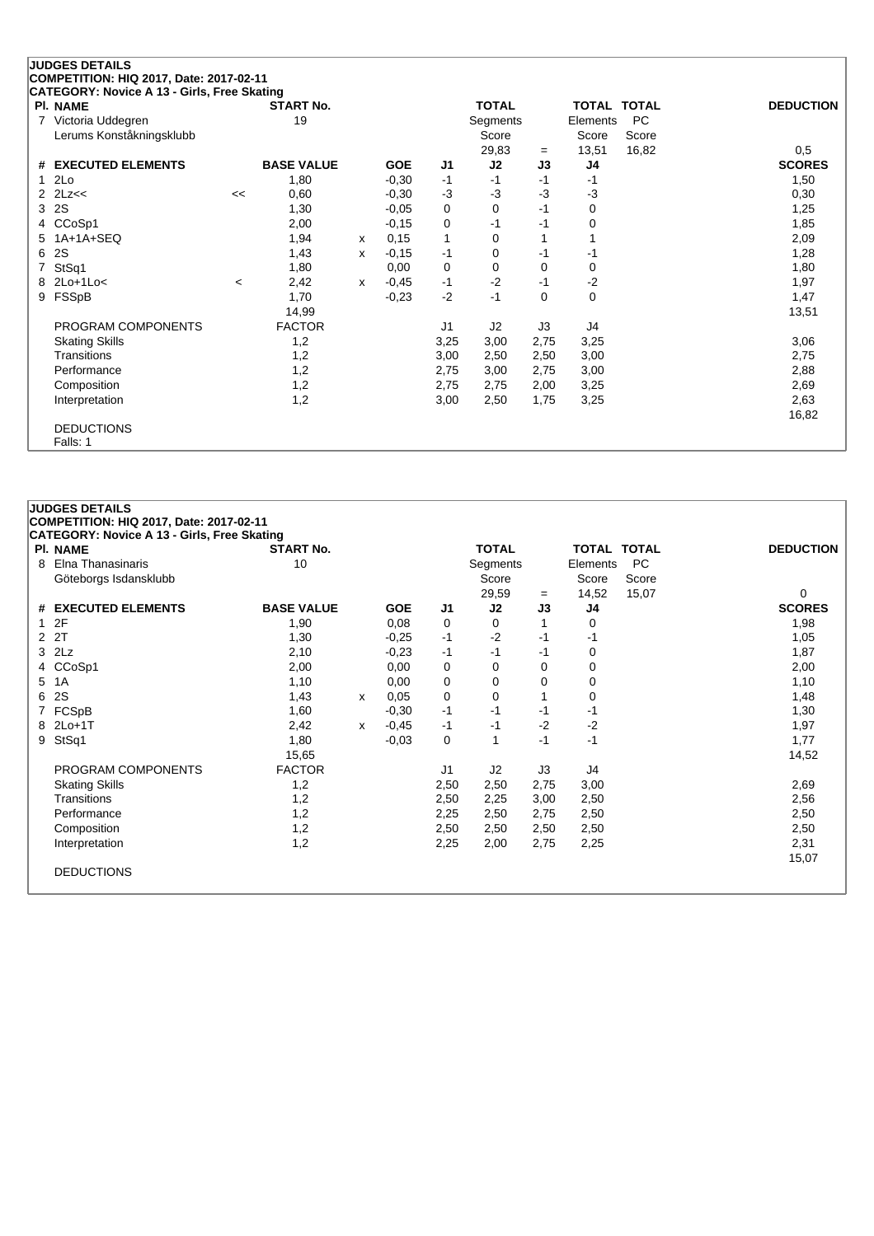|                | <b>JUDGES DETAILS</b>                                          |         |                   |   |            |                |              |           |                    |           |                      |
|----------------|----------------------------------------------------------------|---------|-------------------|---|------------|----------------|--------------|-----------|--------------------|-----------|----------------------|
|                | COMPETITION: HIQ 2017, Date: 2017-02-11                        |         |                   |   |            |                |              |           |                    |           |                      |
|                | CATEGORY: Novice A 13 - Girls, Free Skating<br><b>PI. NAME</b> |         | <b>START No.</b>  |   |            |                | <b>TOTAL</b> |           | <b>TOTAL TOTAL</b> |           | <b>DEDUCTION</b>     |
| $\overline{7}$ | Victoria Uddegren                                              |         | 19                |   |            |                | Segments     |           | Elements           | <b>PC</b> |                      |
|                | Lerums Konståkningsklubb                                       |         |                   |   |            |                | Score        |           | Score              | Score     |                      |
|                |                                                                |         |                   |   |            |                |              |           |                    |           |                      |
| #              | <b>EXECUTED ELEMENTS</b>                                       |         | <b>BASE VALUE</b> |   | <b>GOE</b> | J <sub>1</sub> | 29,83<br>J2  | $=$<br>J3 | 13,51<br>J4        | 16,82     | 0,5<br><b>SCORES</b> |
|                | 2Lo                                                            |         | 1,80              |   |            | $-1$           | $-1$         | -1        | $-1$               |           |                      |
|                |                                                                |         |                   |   | $-0,30$    |                |              |           |                    |           | 1,50                 |
| $\mathcal{P}$  | 2Lz<<                                                          | <<      | 0,60              |   | $-0,30$    | $-3$           | $-3$         | -3        | $-3$               |           | 0,30                 |
| 3              | 2S                                                             |         | 1,30              |   | $-0,05$    | 0              | $\Omega$     | $-1$      | 0                  |           | 1,25                 |
| 4              | CCoSp1                                                         |         | 2,00              |   | $-0,15$    | 0              | -1           | -1        | 0                  |           | 1,85                 |
|                | $1A+1A+SEQ$                                                    |         | 1,94              | x | 0,15       | $\mathbf{1}$   | 0            |           |                    |           | 2,09                 |
| 6              | 2S                                                             |         | 1,43              | x | $-0,15$    | $-1$           | 0            | -1        | -1                 |           | 1,28                 |
|                | StSq1                                                          |         | 1,80              |   | 0,00       | 0              | 0            | 0         | 0                  |           | 1,80                 |
| 8              | $2Lo+1Lo<$                                                     | $\,<\,$ | 2,42              | X | $-0.45$    | $-1$           | $-2$         | $-1$      | $-2$               |           | 1,97                 |
| 9              | FSSpB                                                          |         | 1,70              |   | $-0,23$    | $-2$           | -1           | $\Omega$  | $\Omega$           |           | 1,47                 |
|                |                                                                |         | 14,99             |   |            |                |              |           |                    |           | 13,51                |
|                | PROGRAM COMPONENTS                                             |         | <b>FACTOR</b>     |   |            | J1             | J2           | J3        | J4                 |           |                      |
|                | <b>Skating Skills</b>                                          |         | 1,2               |   |            | 3,25           | 3,00         | 2,75      | 3,25               |           | 3,06                 |
|                | Transitions                                                    |         | 1,2               |   |            | 3,00           | 2,50         | 2,50      | 3,00               |           | 2,75                 |
|                | Performance                                                    |         | 1,2               |   |            | 2,75           | 3,00         | 2,75      | 3,00               |           | 2,88                 |
|                | Composition                                                    |         | 1,2               |   |            | 2,75           | 2,75         | 2,00      | 3,25               |           | 2,69                 |
|                | Interpretation                                                 |         | 1,2               |   |            | 3,00           | 2,50         | 1,75      | 3,25               |           | 2,63                 |
|                |                                                                |         |                   |   |            |                |              |           |                    |           | 16,82                |
|                | <b>DEDUCTIONS</b>                                              |         |                   |   |            |                |              |           |                    |           |                      |
|                | Falls: 1                                                       |         |                   |   |            |                |              |           |                    |           |                      |
|                |                                                                |         |                   |   |            |                |              |           |                    |           |                      |

|                | <b>JUDGES DETAILS</b>                                                                         |                   |   |            |                |              |      |                    |           |                  |
|----------------|-----------------------------------------------------------------------------------------------|-------------------|---|------------|----------------|--------------|------|--------------------|-----------|------------------|
|                | COMPETITION: HIQ 2017, Date: 2017-02-11<br><b>CATEGORY: Novice A 13 - Girls, Free Skating</b> |                   |   |            |                |              |      |                    |           |                  |
|                | PI. NAME                                                                                      | <b>START No.</b>  |   |            |                | <b>TOTAL</b> |      | <b>TOTAL TOTAL</b> |           | <b>DEDUCTION</b> |
| 8              | Elna Thanasinaris                                                                             | 10                |   |            |                | Segments     |      | Elements           | <b>PC</b> |                  |
|                | Göteborgs Isdansklubb                                                                         |                   |   |            |                | Score        |      | Score              | Score     |                  |
|                |                                                                                               |                   |   |            |                | 29,59        | $=$  | 14,52              | 15,07     | 0                |
|                | # EXECUTED ELEMENTS                                                                           | <b>BASE VALUE</b> |   | <b>GOE</b> | J1             | J2           | J3   | J4                 |           | <b>SCORES</b>    |
| 1.             | 2F                                                                                            | 1,90              |   | 0,08       | 0              | 0            |      | 0                  |           | 1,98             |
| $\overline{2}$ | 2T                                                                                            | 1,30              |   | $-0.25$    | $-1$           | $-2$         | $-1$ | -1                 |           | 1,05             |
| 3              | 2Lz                                                                                           | 2,10              |   | $-0,23$    | $-1$           | $-1$         | $-1$ | 0                  |           | 1,87             |
| 4              | CCoSp1                                                                                        | 2,00              |   | 0,00       | 0              | 0            | 0    | 0                  |           | 2,00             |
| 5              | 1A                                                                                            | 1,10              |   | 0,00       | 0              | 0            | 0    | 0                  |           | 1,10             |
| 6              | 2S                                                                                            | 1,43              | x | 0,05       | 0              | 0            |      | $\Omega$           |           | 1,48             |
|                | FCSpB                                                                                         | 1,60              |   | $-0,30$    | $-1$           | $-1$         | $-1$ | -1                 |           | 1,30             |
|                | 8 2Lo+1T                                                                                      | 2,42              | x | $-0,45$    | -1             | -1           | $-2$ | $-2$               |           | 1,97             |
| 9              | StSq1                                                                                         | 1,80              |   | $-0,03$    | 0              | $\mathbf{1}$ | $-1$ | $-1$               |           | 1,77             |
|                |                                                                                               | 15,65             |   |            |                |              |      |                    |           | 14,52            |
|                | PROGRAM COMPONENTS                                                                            | <b>FACTOR</b>     |   |            | J <sub>1</sub> | J2           | J3   | J4                 |           |                  |
|                | <b>Skating Skills</b>                                                                         | 1,2               |   |            | 2,50           | 2,50         | 2,75 | 3,00               |           | 2,69             |
|                | Transitions                                                                                   | 1,2               |   |            | 2,50           | 2,25         | 3,00 | 2,50               |           | 2,56             |
|                | Performance                                                                                   | 1,2               |   |            | 2,25           | 2,50         | 2,75 | 2,50               |           | 2,50             |
|                | Composition                                                                                   | 1,2               |   |            | 2,50           | 2,50         | 2,50 | 2,50               |           | 2,50             |
|                | Interpretation                                                                                | 1,2               |   |            | 2,25           | 2,00         | 2,75 | 2,25               |           | 2,31             |
|                |                                                                                               |                   |   |            |                |              |      |                    |           | 15,07            |
|                | <b>DEDUCTIONS</b>                                                                             |                   |   |            |                |              |      |                    |           |                  |
|                |                                                                                               |                   |   |            |                |              |      |                    |           |                  |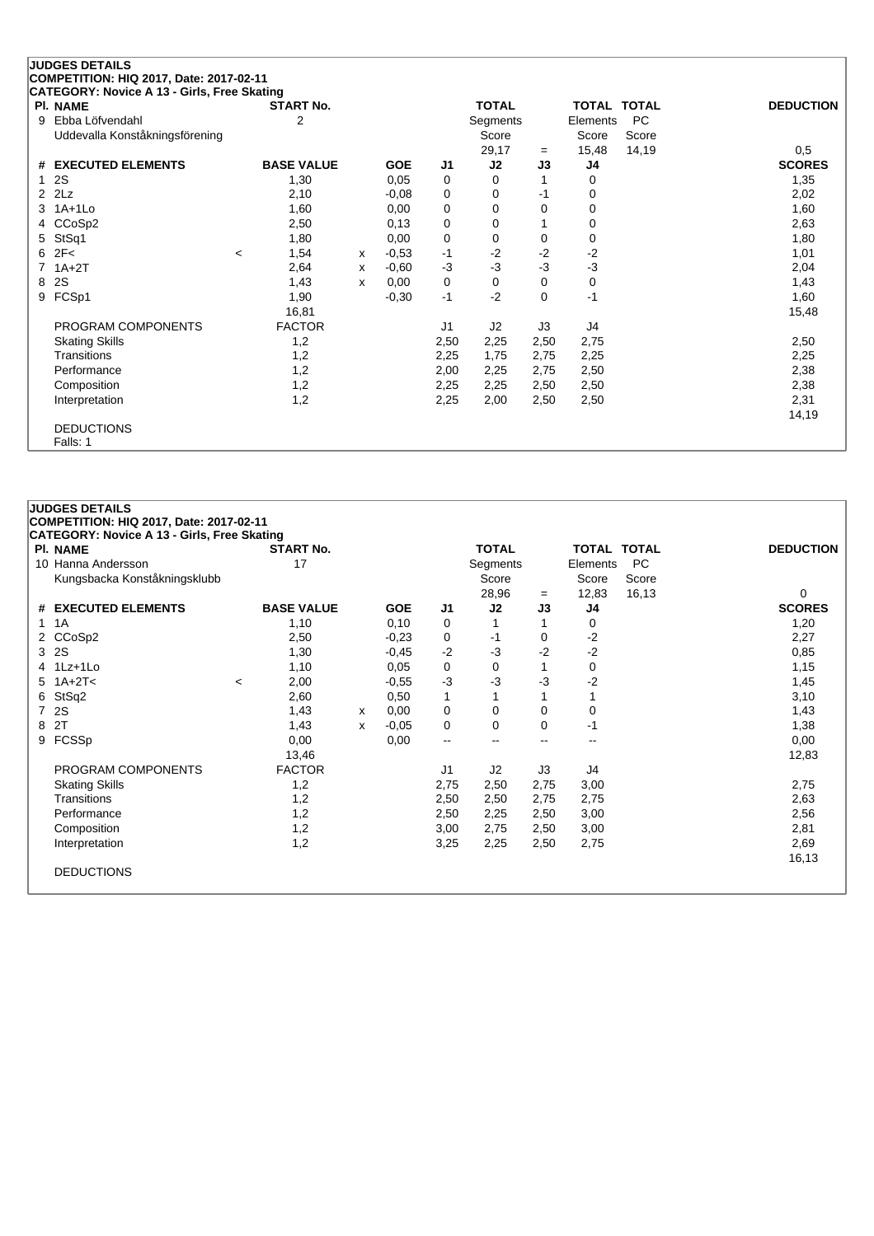| PI. NAME                       | <b>START No.</b>  |   |            |      | <b>TOTAL</b>   |          |                | TOTAL TOTAL | <b>DEDUCTION</b> |
|--------------------------------|-------------------|---|------------|------|----------------|----------|----------------|-------------|------------------|
| Ebba Löfvendahl<br>9           | 2                 |   |            |      | Segments       |          | Elements       | PC          |                  |
| Uddevalla Konståkningsförening |                   |   |            |      | Score          |          | Score          | Score       |                  |
|                                |                   |   |            |      | 29,17          | $=$      | 15,48          | 14,19       | 0,5              |
| <b>EXECUTED ELEMENTS</b><br>#  | <b>BASE VALUE</b> |   | <b>GOE</b> | J1   | J2             | J3       | J <sub>4</sub> |             | <b>SCORES</b>    |
| 2S<br>1                        | 1,30              |   | 0,05       | 0    | 0              |          | 0              |             | 1,35             |
| 2Lz<br>2                       | 2,10              |   | $-0.08$    | 0    | 0              | -1       | 0              |             | 2,02             |
| $1A+1Lo$<br>3                  | 1,60              |   | 0,00       | 0    | 0              | 0        | 0              |             | 1,60             |
| CCoSp2<br>4                    | 2,50              |   | 0,13       | 0    | 0              |          | 0              |             | 2,63             |
| StSq1<br>5                     | 1,80              |   | 0,00       | 0    | 0              | 0        | 0              |             | 1,80             |
| 2F<<br>6                       | 1,54<br>$\,<\,$   | X | $-0,53$    | $-1$ | $-2$           | $-2$     | $-2$           |             | 1,01             |
| $1A+2T$                        | 2,64              | x | $-0.60$    | $-3$ | $-3$           | $-3$     | $-3$           |             | 2,04             |
| 2S<br>8                        | 1,43              | x | 0,00       | 0    | 0              | $\Omega$ | 0              |             | 1,43             |
| FCSp1<br>9                     | 1,90              |   | $-0,30$    | $-1$ | $-2$           | 0        | $-1$           |             | 1,60             |
|                                | 16,81             |   |            |      |                |          |                |             | 15,48            |
| PROGRAM COMPONENTS             | <b>FACTOR</b>     |   |            | J1   | J <sub>2</sub> | J3       | J4             |             |                  |
| <b>Skating Skills</b>          | 1,2               |   |            | 2,50 | 2,25           | 2,50     | 2,75           |             | 2,50             |
| <b>Transitions</b>             | 1,2               |   |            | 2,25 | 1.75           | 2,75     | 2,25           |             | 2,25             |
| Performance                    | 1,2               |   |            | 2,00 | 2,25           | 2,75     | 2,50           |             | 2,38             |
| Composition                    | 1,2               |   |            | 2,25 | 2,25           | 2,50     | 2,50           |             | 2,38             |
| Interpretation                 | 1,2               |   |            | 2,25 | 2,00           | 2,50     | 2,50           |             | 2,31             |
|                                |                   |   |            |      |                |          |                |             | 14,19            |

|                | <b>JUDGES DETAILS</b><br>COMPETITION: HIQ 2017, Date: 2017-02-11 |         |                   |   |            |                |              |      |                    |           |                  |
|----------------|------------------------------------------------------------------|---------|-------------------|---|------------|----------------|--------------|------|--------------------|-----------|------------------|
|                | <b>CATEGORY: Novice A 13 - Girls, Free Skating</b>               |         |                   |   |            |                |              |      |                    |           |                  |
|                | <b>PI. NAME</b>                                                  |         | <b>START No.</b>  |   |            |                | <b>TOTAL</b> |      | <b>TOTAL TOTAL</b> |           | <b>DEDUCTION</b> |
|                | 10 Hanna Andersson                                               |         | 17                |   |            |                | Segments     |      | Elements           | <b>PC</b> |                  |
|                | Kungsbacka Konståkningsklubb                                     |         |                   |   |            |                | Score        |      | Score              | Score     |                  |
|                |                                                                  |         |                   |   |            |                | 28,96        | $=$  | 12,83              | 16,13     | 0                |
|                | # EXECUTED ELEMENTS                                              |         | <b>BASE VALUE</b> |   | <b>GOE</b> | J1             | J2           | J3   | J <sub>4</sub>     |           | <b>SCORES</b>    |
|                | 1 1 A                                                            |         | 1,10              |   | 0,10       | 0              | 1            |      | 0                  |           | 1,20             |
| $\overline{2}$ | CCoSp2                                                           |         | 2,50              |   | $-0,23$    | 0              | $-1$         | 0    | $-2$               |           | 2,27             |
|                | 3 2S                                                             |         | 1,30              |   | $-0,45$    | $-2$           | $-3$         | $-2$ | $-2$               |           | 0,85             |
|                | 4 1Lz+1Lo                                                        |         | 1,10              |   | 0,05       | 0              | 0            |      | 0                  |           | 1,15             |
| 5              | $1A+2T<$                                                         | $\,<\,$ | 2,00              |   | $-0,55$    | $-3$           | $-3$         | $-3$ | $-2$               |           | 1,45             |
|                | 6 StSq2                                                          |         | 2,60              |   | 0,50       | $\mathbf{1}$   | 1            |      |                    |           | 3,10             |
|                | 7 2S                                                             |         | 1,43              | x | 0,00       | 0              | 0            | 0    | 0                  |           | 1,43             |
|                | 8 2T                                                             |         | 1,43              | x | $-0,05$    | 0              | 0            | 0    | $-1$               |           | 1,38             |
|                | 9 FCSSp                                                          |         | 0,00              |   | 0,00       | -−             | $-$          | $-$  | --                 |           | 0,00             |
|                |                                                                  |         | 13,46             |   |            |                |              |      |                    |           | 12,83            |
|                | PROGRAM COMPONENTS                                               |         | <b>FACTOR</b>     |   |            | J <sub>1</sub> | J2           | J3   | J4                 |           |                  |
|                | <b>Skating Skills</b>                                            |         | 1,2               |   |            | 2,75           | 2,50         | 2,75 | 3,00               |           | 2,75             |
|                | Transitions                                                      |         | 1,2               |   |            | 2,50           | 2,50         | 2,75 | 2,75               |           | 2,63             |
|                | Performance                                                      |         | 1,2               |   |            | 2,50           | 2,25         | 2,50 | 3,00               |           | 2,56             |
|                | Composition                                                      |         | 1,2               |   |            | 3,00           | 2,75         | 2,50 | 3,00               |           | 2,81             |
|                | Interpretation                                                   |         | 1,2               |   |            | 3,25           | 2,25         | 2,50 | 2,75               |           | 2,69             |
|                |                                                                  |         |                   |   |            |                |              |      |                    |           | 16,13            |
|                | <b>DEDUCTIONS</b>                                                |         |                   |   |            |                |              |      |                    |           |                  |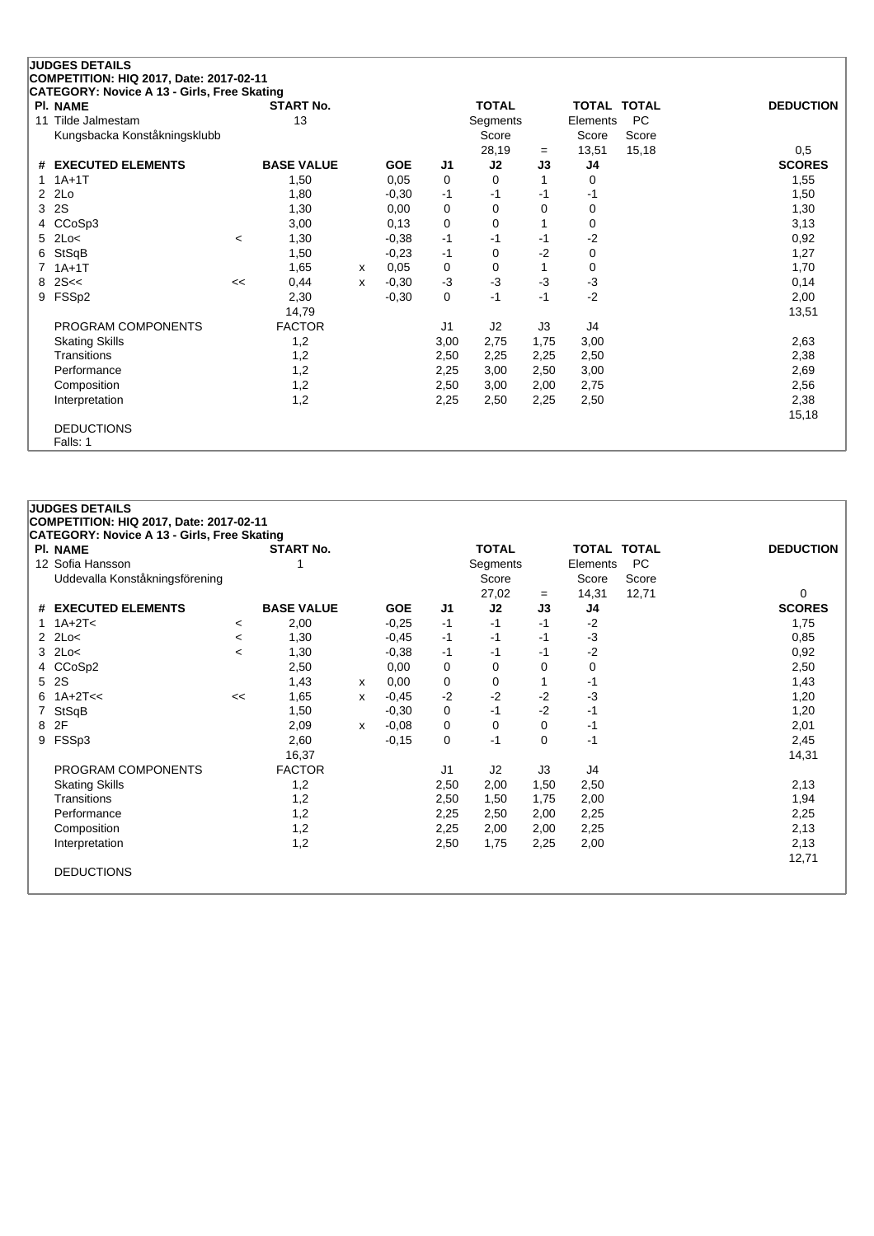|                | <b>JUDGES DETAILS</b>                                          |         |                   |   |            |                |              |           |          |                    |                  |
|----------------|----------------------------------------------------------------|---------|-------------------|---|------------|----------------|--------------|-----------|----------|--------------------|------------------|
|                | COMPETITION: HIQ 2017, Date: 2017-02-11                        |         |                   |   |            |                |              |           |          |                    |                  |
|                | CATEGORY: Novice A 13 - Girls, Free Skating<br><b>PI. NAME</b> |         | <b>START No.</b>  |   |            |                | <b>TOTAL</b> |           |          | <b>TOTAL TOTAL</b> | <b>DEDUCTION</b> |
| 11             | Tilde Jalmestam                                                |         | 13                |   |            |                | Segments     |           | Elements | <b>PC</b>          |                  |
|                | Kungsbacka Konståkningsklubb                                   |         |                   |   |            |                | Score        |           | Score    | Score              |                  |
|                |                                                                |         |                   |   |            |                | 28,19        |           | 13,51    | 15,18              | 0,5              |
| #              | <b>EXECUTED ELEMENTS</b>                                       |         | <b>BASE VALUE</b> |   | <b>GOE</b> | J1             | J2           | $=$<br>J3 | J4       |                    | <b>SCORES</b>    |
|                | $1A+1T$                                                        |         | 1,50              |   | 0,05       | 0              | 0            | 1         | 0        |                    | 1,55             |
| $\overline{2}$ | 2Lo                                                            |         | 1,80              |   | $-0,30$    | $-1$           | -1           | -1        | -1       |                    | 1,50             |
| 3              | 2S                                                             |         | 1,30              |   | 0,00       | 0              | $\Omega$     | $\Omega$  | 0        |                    | 1,30             |
| 4              | CCoSp3                                                         |         | 3,00              |   | 0,13       | 0              | $\Omega$     |           | 0        |                    | 3,13             |
| 5              | 2Lo<                                                           | $\,<\,$ | 1,30              |   | $-0,38$    | $-1$           | -1           | -1        | $-2$     |                    | 0,92             |
| 6              | StSqB                                                          |         | 1,50              |   | $-0,23$    | $-1$           | $\Omega$     | $-2$      | 0        |                    | 1,27             |
|                | $1A+1T$                                                        |         | 1,65              | x | 0,05       | 0              | 0            |           | 0        |                    | 1,70             |
| 8              | 2S<<                                                           | <<      | 0,44              | x | $-0,30$    | $-3$           | $-3$         | $-3$      | $-3$     |                    | 0,14             |
| 9              | FSSp2                                                          |         | 2,30              |   | $-0,30$    | 0              | -1           | $-1$      | $-2$     |                    | 2,00             |
|                |                                                                |         | 14,79             |   |            |                |              |           |          |                    | 13,51            |
|                | PROGRAM COMPONENTS                                             |         | <b>FACTOR</b>     |   |            | J <sub>1</sub> | J2           | J3        | J4       |                    |                  |
|                |                                                                |         |                   |   |            |                |              |           |          |                    |                  |
|                | <b>Skating Skills</b>                                          |         | 1,2               |   |            | 3,00           | 2,75         | 1,75      | 3,00     |                    | 2,63             |
|                | Transitions                                                    |         | 1,2               |   |            | 2,50           | 2,25         | 2,25      | 2,50     |                    | 2,38             |
|                | Performance                                                    |         | 1,2               |   |            | 2,25           | 3,00         | 2,50      | 3,00     |                    | 2,69             |
|                | Composition                                                    |         | 1,2               |   |            | 2,50           | 3,00         | 2,00      | 2,75     |                    | 2,56             |
|                | Interpretation                                                 |         | 1,2               |   |            | 2,25           | 2,50         | 2,25      | 2,50     |                    | 2,38             |
|                |                                                                |         |                   |   |            |                |              |           |          |                    | 15,18            |
|                | <b>DEDUCTIONS</b>                                              |         |                   |   |            |                |              |           |          |                    |                  |
|                | Falls: 1                                                       |         |                   |   |            |                |              |           |          |                    |                  |

| <b>JUDGES DETAILS</b><br>COMPETITION: HIQ 2017, Date: 2017-02-11 |         |                   |   |            |                |                |      |             |       |                  |
|------------------------------------------------------------------|---------|-------------------|---|------------|----------------|----------------|------|-------------|-------|------------------|
| <b>CATEGORY: Novice A 13 - Girls, Free Skating</b>               |         |                   |   |            |                |                |      |             |       |                  |
| <b>PI. NAME</b>                                                  |         | <b>START No.</b>  |   |            |                | <b>TOTAL</b>   |      | TOTAL TOTAL |       | <b>DEDUCTION</b> |
| 12 Sofia Hansson                                                 |         |                   |   |            |                | Segments       |      | Elements    | PC    |                  |
| Uddevalla Konståkningsförening                                   |         |                   |   |            |                | Score          |      | Score       | Score |                  |
|                                                                  |         |                   |   |            |                | 27,02          | $=$  | 14,31       | 12,71 | 0                |
| # EXECUTED ELEMENTS                                              |         | <b>BASE VALUE</b> |   | <b>GOE</b> | J1             | J <sub>2</sub> | J3   | J4          |       | <b>SCORES</b>    |
| 1 $1A+2T<$                                                       | $\,<\,$ | 2,00              |   | $-0.25$    | $-1$           | $-1$           | $-1$ | $-2$        |       | 1,75             |
| $2$ $2$ $\text{Lo}$                                              | $\,<\,$ | 1,30              |   | $-0,45$    | $-1$           | $-1$           | $-1$ | $-3$        |       | 0,85             |
| $3$ 2Lo<                                                         | $\prec$ | 1,30              |   | $-0,38$    | $-1$           | -1             | $-1$ | $-2$        |       | 0,92             |
| 4 CCoSp2                                                         |         | 2,50              |   | 0,00       | 0              | 0              | 0    | 0           |       | 2,50             |
| 5 2S                                                             |         | 1,43              | х | 0,00       | 0              | 0              |      | $-1$        |       | 1,43             |
| 6 $1A + 2T <$                                                    | <<      | 1,65              | X | $-0,45$    | $-2$           | $-2$           | $-2$ | $-3$        |       | 1,20             |
| 7 StSqB                                                          |         | 1,50              |   | $-0,30$    | 0              | $-1$           | $-2$ | $-1$        |       | 1,20             |
| 8 2F                                                             |         | 2,09              | x | $-0,08$    | 0              | 0              | 0    | $-1$        |       | 2,01             |
| 9 FSSp3                                                          |         | 2,60              |   | $-0,15$    | 0              | $-1$           | 0    | $-1$        |       | 2,45             |
|                                                                  |         | 16,37             |   |            |                |                |      |             |       | 14,31            |
| PROGRAM COMPONENTS                                               |         | <b>FACTOR</b>     |   |            | J <sub>1</sub> | J2             | J3   | J4          |       |                  |
| <b>Skating Skills</b>                                            |         | 1,2               |   |            | 2,50           | 2,00           | 1,50 | 2,50        |       | 2,13             |
| Transitions                                                      |         | 1,2               |   |            | 2,50           | 1,50           | 1,75 | 2,00        |       | 1,94             |
| Performance                                                      |         | 1,2               |   |            | 2,25           | 2,50           | 2,00 | 2,25        |       | 2,25             |
| Composition                                                      |         | 1,2               |   |            | 2,25           | 2,00           | 2,00 | 2,25        |       | 2,13             |
| Interpretation                                                   |         | 1,2               |   |            | 2,50           | 1,75           | 2,25 | 2,00        |       | 2,13             |
|                                                                  |         |                   |   |            |                |                |      |             |       | 12,71            |
| <b>DEDUCTIONS</b>                                                |         |                   |   |            |                |                |      |             |       |                  |
|                                                                  |         |                   |   |            |                |                |      |             |       |                  |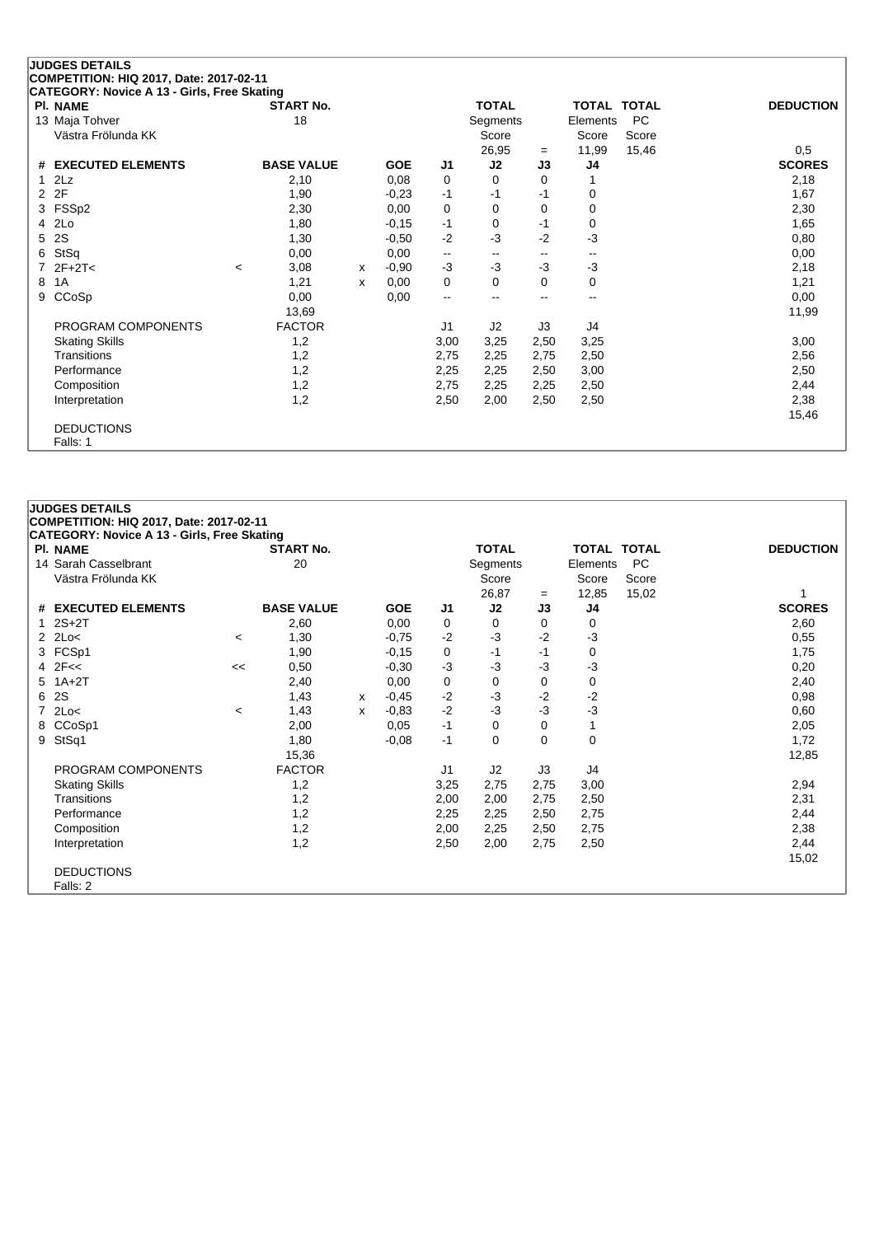## **JUDGES DETAILS COMPETITION: HIQ 2017, Date: 2017-02-11**

| CATEGORY: Novice A 13 - Girls, Free Skating |                          |                   |   |            |                          |              |      |          |                    |                  |
|---------------------------------------------|--------------------------|-------------------|---|------------|--------------------------|--------------|------|----------|--------------------|------------------|
| <b>PI. NAME</b>                             |                          | <b>START No.</b>  |   |            |                          | <b>TOTAL</b> |      |          | <b>TOTAL TOTAL</b> | <b>DEDUCTION</b> |
| 13 Maja Tohver                              |                          | 18                |   |            |                          | Segments     |      | Elements | PC                 |                  |
| Västra Frölunda KK                          |                          |                   |   |            |                          | Score        |      | Score    | Score              |                  |
|                                             |                          |                   |   |            |                          | 26,95        | $=$  | 11,99    | 15,46              | 0,5              |
| # EXECUTED ELEMENTS                         |                          | <b>BASE VALUE</b> |   | <b>GOE</b> | J1                       | J2           | J3   | J4       |                    | <b>SCORES</b>    |
| $1$ $2Lz$                                   |                          | 2,10              |   | 0,08       | 0                        | 0            | 0    |          |                    | 2,18             |
| 2 2F                                        |                          | 1,90              |   | $-0.23$    | -1                       | $-1$         | -1   | 0        |                    | 1,67             |
| 3 FSSp2                                     |                          | 2,30              |   | 0,00       | 0                        | 0            | 0    | 0        |                    | 2,30             |
| 4 2Lo                                       |                          | 1,80              |   | $-0,15$    | $-1$                     | 0            | -1   | 0        |                    | 1,65             |
| 5 2S                                        |                          | 1,30              |   | $-0,50$    | $-2$                     | $-3$         | $-2$ | $-3$     |                    | 0,80             |
| 6 StSq                                      |                          | 0,00              |   | 0,00       | $\overline{\phantom{m}}$ | --           | --   | --       |                    | 0,00             |
| $7$ $2F+2T<$                                | $\overline{\phantom{a}}$ | 3,08              | х | $-0,90$    | -3                       | $-3$         | $-3$ | $-3$     |                    | 2,18             |
| 8 1A                                        |                          | 1,21              | x | 0,00       | 0                        | 0            | 0    | 0        |                    | 1,21             |
| 9 CCoSp                                     |                          | 0,00              |   | 0,00       | $\overline{\phantom{a}}$ | --           | --   | --       |                    | 0,00             |
|                                             |                          | 13,69             |   |            |                          |              |      |          |                    | 11,99            |
| PROGRAM COMPONENTS                          |                          | <b>FACTOR</b>     |   |            | J1                       | J2           | J3   | J4       |                    |                  |
| <b>Skating Skills</b>                       |                          | 1,2               |   |            | 3,00                     | 3,25         | 2,50 | 3,25     |                    | 3,00             |
| Transitions                                 |                          | 1,2               |   |            | 2,75                     | 2,25         | 2,75 | 2,50     |                    | 2,56             |
| Performance                                 |                          | 1,2               |   |            | 2,25                     | 2,25         | 2,50 | 3,00     |                    | 2,50             |
| Composition                                 |                          | 1,2               |   |            | 2,75                     | 2,25         | 2,25 | 2,50     |                    | 2,44             |
| Interpretation                              |                          | 1,2               |   |            | 2,50                     | 2,00         | 2,50 | 2,50     |                    | 2,38             |
|                                             |                          |                   |   |            |                          |              |      |          |                    | 15,46            |
| <b>DEDUCTIONS</b>                           |                          |                   |   |            |                          |              |      |          |                    |                  |
| Falls: 1                                    |                          |                   |   |            |                          |              |      |          |                    |                  |

## **JUDGES DETAILS COMPETITION: HIQ 2017, Date: 2017-02-11 CATEGORY: Novice A 13 - Girls, Free Skating Pl. NAME START No. TOTAL TOTAL TOTAL DEDUCTION** 14 Sarah Casselbrant 20 Segments Elements PC Västra Frölunda KK Nästra Frölunda KK Score Score Score Score Score Score Score Score Score Score Score Score Score Score Score Score Score Score Score Score Score Score Score Score Score Score Score Score Score Score Scor 26,87 <sup>=</sup> 12,85 15,02 1 **# EXECUTED ELEMENTS BASE VALUE GOE J1 J2 J3 J4 SCORES** 1 2S+2T 2,60 0,00 0 0 0 0 2,60 2 2Lo< <sup>&</sup>lt; 1,30 -0,75 -2 -3 -2 -3 0,55 3 FCSp1 1,90 -0,15 0 -1 -1 0 1,75 4 2F<< << 0,50 -0,30 -3 -3 -3 -3 0,20 5 1A+2T 2,40 0,00 0 0 0 0 2,40 6 2S 1,43 <sup>x</sup> -0,45 -2 -3 -2 -2 0,98 7 2Lo< <sup>&</sup>lt; 1,43 <sup>x</sup> -0,83 -2 -3 -3 -3 0,60 8 CCoSp1 2,00 0,05 -1 0 0 1 2,05 9 StSq1 1,80 -0,08 -1 0 0 0 1,72 15,36 12,85 PROGRAM COMPONENTS FACTOR J1 J2 J3 J4 Skating Skills 1,2 3,25 2,75 2,75 3,00 2,94 Transitions 1,2 2,00 2,00 2,75 2,50 2,31 Performance 1,2 2,25 2,25 2,50 2,75 2,44 Composition 1,2 2,00 2,25 2,50 2,75 2,38 Interpretation 1,2 2,50 2,00 2,75 2,50 2,44 15,02 DEDUCTIONS Falls: 2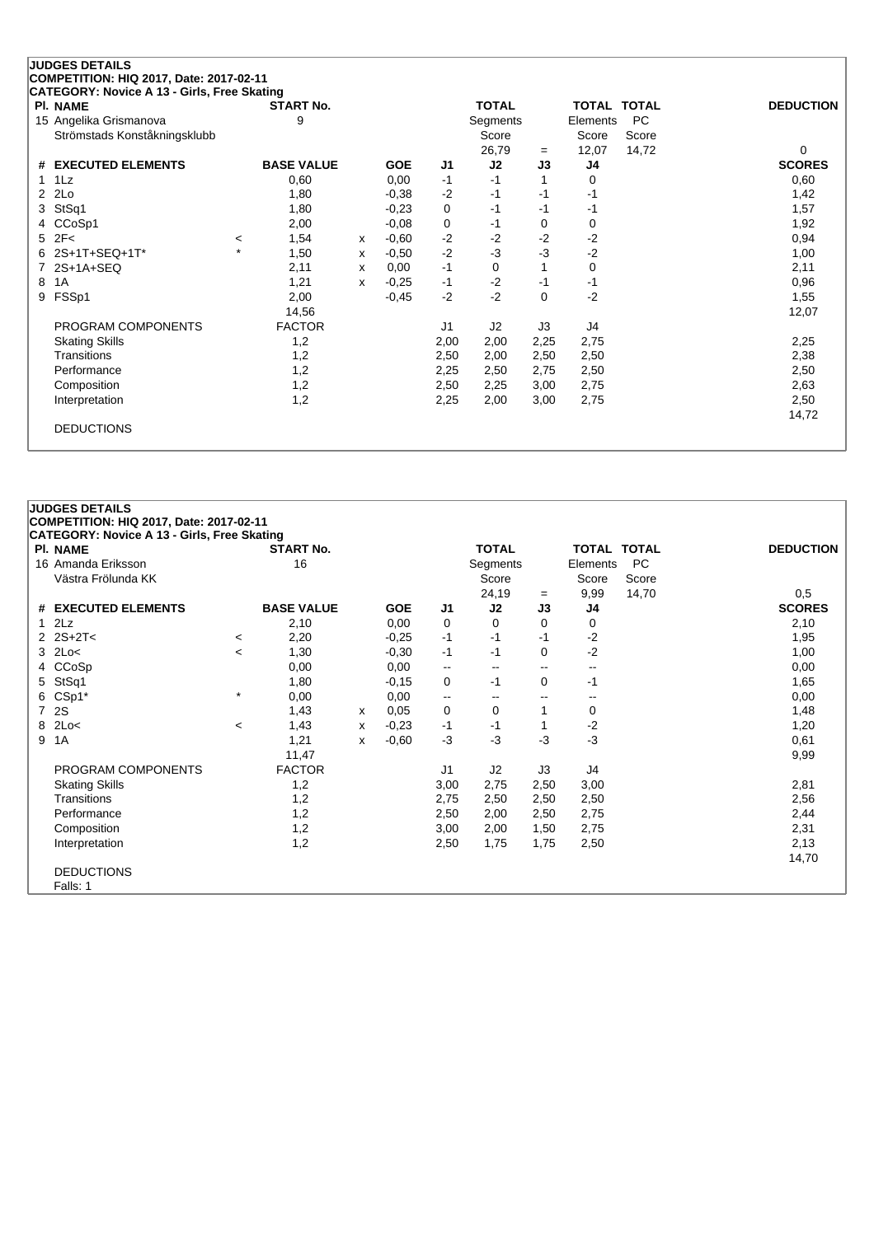| <b>JUDGES DETAILS</b>                       |         |                   |              |            |      |              |          |                    |           |                  |
|---------------------------------------------|---------|-------------------|--------------|------------|------|--------------|----------|--------------------|-----------|------------------|
| COMPETITION: HIQ 2017, Date: 2017-02-11     |         |                   |              |            |      |              |          |                    |           |                  |
| CATEGORY: Novice A 13 - Girls, Free Skating |         |                   |              |            |      |              |          |                    |           |                  |
| <b>PI. NAME</b>                             |         | <b>START No.</b>  |              |            |      | <b>TOTAL</b> |          | <b>TOTAL TOTAL</b> |           | <b>DEDUCTION</b> |
| 15 Angelika Grismanova                      |         | 9                 |              |            |      | Segments     |          | Elements           | <b>PC</b> |                  |
| Strömstads Konståkningsklubb                |         |                   |              |            |      | Score        |          | Score              | Score     |                  |
|                                             |         |                   |              |            |      | 26,79        | $=$      | 12,07              | 14,72     | 0                |
| <b>EXECUTED ELEMENTS</b><br>#               |         | <b>BASE VALUE</b> |              | <b>GOE</b> | J1   | J2           | J3       | J4                 |           | <b>SCORES</b>    |
| $1\text{L}z$<br>1                           |         | 0,60              |              | 0,00       | $-1$ | $-1$         |          | 0                  |           | 0,60             |
| 2Lo<br>2                                    |         | 1,80              |              | $-0.38$    | $-2$ | $-1$         | $-1$     | -1                 |           | 1,42             |
| StSq1<br>3                                  |         | 1,80              |              | $-0,23$    | 0    | $-1$         | $-1$     | $-1$               |           | 1,57             |
| CCoSp1<br>4                                 |         | 2,00              |              | $-0,08$    | 0    | $-1$         | 0        | 0                  |           | 1,92             |
| 2F<<br>5                                    | $\,<\,$ | 1,54              | $\mathsf{x}$ | $-0.60$    | $-2$ | $-2$         | $-2$     | $-2$               |           | 0,94             |
| 2S+1T+SEQ+1T*                               | $\star$ | 1,50              | x            | $-0,50$    | $-2$ | $-3$         | $-3$     | $-2$               |           | 1,00             |
| 2S+1A+SEQ                                   |         | 2,11              | x            | 0,00       | $-1$ | $\Omega$     |          | 0                  |           | 2,11             |
| 1A<br>8                                     |         | 1,21              | x            | $-0,25$    | $-1$ | $-2$         | $-1$     | $-1$               |           | 0,96             |
| FSSp1<br>9                                  |         | 2,00              |              | $-0,45$    | $-2$ | $-2$         | $\Omega$ | $-2$               |           | 1,55             |
|                                             |         | 14,56             |              |            |      |              |          |                    |           | 12,07            |
| PROGRAM COMPONENTS                          |         | <b>FACTOR</b>     |              |            | J1   | J2           | J3       | J4                 |           |                  |
| <b>Skating Skills</b>                       |         | 1,2               |              |            | 2,00 | 2,00         | 2,25     | 2,75               |           | 2,25             |
| Transitions                                 |         | 1,2               |              |            | 2,50 | 2,00         | 2,50     | 2,50               |           | 2,38             |
| Performance                                 |         | 1,2               |              |            | 2,25 | 2,50         | 2,75     | 2,50               |           | 2,50             |
| Composition                                 |         | 1,2               |              |            | 2,50 | 2,25         | 3,00     | 2,75               |           | 2,63             |
| Interpretation                              |         | 1,2               |              |            | 2,25 | 2,00         | 3,00     | 2,75               |           | 2,50             |
|                                             |         |                   |              |            |      |              |          |                    |           | 14,72            |
| <b>DEDUCTIONS</b>                           |         |                   |              |            |      |              |          |                    |           |                  |
|                                             |         |                   |              |            |      |              |          |                    |           |                  |

|                | <b>JUDGES DETAILS</b>                              |         |                   |   |            |                          |                          |      |                          |       |                  |
|----------------|----------------------------------------------------|---------|-------------------|---|------------|--------------------------|--------------------------|------|--------------------------|-------|------------------|
|                | COMPETITION: HIQ 2017, Date: 2017-02-11            |         |                   |   |            |                          |                          |      |                          |       |                  |
|                | <b>CATEGORY: Novice A 13 - Girls, Free Skating</b> |         |                   |   |            |                          |                          |      |                          |       |                  |
|                | PI. NAME                                           |         | <b>START No.</b>  |   |            |                          | <b>TOTAL</b>             |      | TOTAL TOTAL              |       | <b>DEDUCTION</b> |
|                | 16 Amanda Eriksson                                 |         | 16                |   |            |                          | Segments                 |      | Elements                 | PC    |                  |
|                | Västra Frölunda KK                                 |         |                   |   |            |                          | Score                    |      | Score                    | Score |                  |
|                |                                                    |         |                   |   |            |                          | 24,19                    | $=$  | 9,99                     | 14,70 | 0,5              |
| #              | <b>EXECUTED ELEMENTS</b>                           |         | <b>BASE VALUE</b> |   | <b>GOE</b> | J1                       | J2                       | J3   | J4                       |       | <b>SCORES</b>    |
| $\mathbf{1}$   | 2Lz                                                |         | 2,10              |   | 0,00       | 0                        | 0                        | 0    | 0                        |       | 2,10             |
|                | $2$ $2S+2T<$                                       | $\,<\,$ | 2,20              |   | $-0,25$    | $-1$                     | $-1$                     | $-1$ | $-2$                     |       | 1,95             |
| 3              | 2Lo<                                               | $\prec$ | 1,30              |   | $-0,30$    | $-1$                     | $-1$                     | 0    | $-2$                     |       | 1,00             |
| 4              | CCoSp                                              |         | 0,00              |   | 0,00       | $\overline{\phantom{a}}$ | $-$                      | $-$  | $\overline{\phantom{a}}$ |       | 0,00             |
| 5              | StSq1                                              |         | 1,80              |   | $-0,15$    | 0                        | $-1$                     | 0    | $-1$                     |       | 1,65             |
| 6              | CSp1*                                              | $\star$ | 0,00              |   | 0,00       | $\overline{\phantom{a}}$ | $\overline{\phantom{a}}$ | --   | --                       |       | 0,00             |
| $\overline{7}$ | 2S                                                 |         | 1,43              | х | 0,05       | 0                        | 0                        |      | 0                        |       | 1,48             |
| 8              | 2Lo<                                               | $\,<\,$ | 1,43              | х | $-0,23$    | $-1$                     | -1                       |      | $-2$                     |       | 1,20             |
| 9              | 1A                                                 |         | 1,21              | x | $-0,60$    | $-3$                     | -3                       | -3   | $-3$                     |       | 0,61             |
|                |                                                    |         | 11,47             |   |            |                          |                          |      |                          |       | 9,99             |
|                | PROGRAM COMPONENTS                                 |         | <b>FACTOR</b>     |   |            | J <sub>1</sub>           | J2                       | J3   | J4                       |       |                  |
|                | <b>Skating Skills</b>                              |         | 1,2               |   |            | 3,00                     | 2,75                     | 2,50 | 3,00                     |       | 2,81             |
|                | Transitions                                        |         | 1,2               |   |            | 2,75                     | 2,50                     | 2,50 | 2,50                     |       | 2,56             |
|                | Performance                                        |         | 1,2               |   |            | 2,50                     | 2,00                     | 2,50 | 2,75                     |       | 2,44             |
|                | Composition                                        |         | 1,2               |   |            | 3,00                     | 2,00                     | 1,50 | 2,75                     |       | 2,31             |
|                | Interpretation                                     |         | 1,2               |   |            | 2,50                     | 1,75                     | 1.75 | 2,50                     |       | 2,13             |
|                |                                                    |         |                   |   |            |                          |                          |      |                          |       | 14,70            |
|                | <b>DEDUCTIONS</b>                                  |         |                   |   |            |                          |                          |      |                          |       |                  |
|                | Falls: 1                                           |         |                   |   |            |                          |                          |      |                          |       |                  |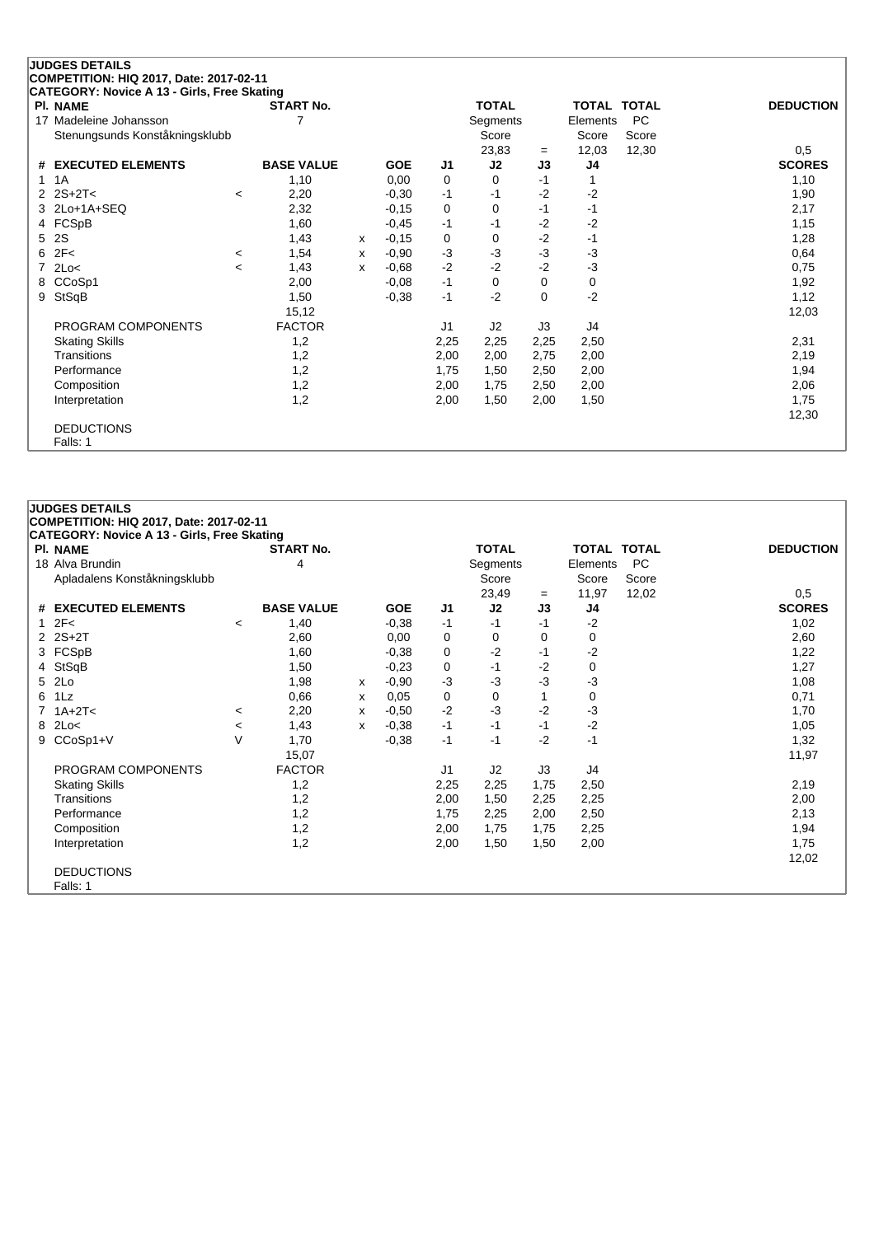|    | <b>JUDGES DETAILS</b>                       |         |                   |   |            |                |              |          |                    |           |                  |
|----|---------------------------------------------|---------|-------------------|---|------------|----------------|--------------|----------|--------------------|-----------|------------------|
|    | COMPETITION: HIQ 2017, Date: 2017-02-11     |         |                   |   |            |                |              |          |                    |           |                  |
|    | CATEGORY: Novice A 13 - Girls, Free Skating |         |                   |   |            |                |              |          |                    |           |                  |
|    | <b>PI. NAME</b>                             |         | <b>START No.</b>  |   |            |                | <b>TOTAL</b> |          | <b>TOTAL TOTAL</b> |           | <b>DEDUCTION</b> |
| 17 | Madeleine Johansson                         |         | 7                 |   |            |                | Segments     |          | Elements           | <b>PC</b> |                  |
|    | Stenungsunds Konståkningsklubb              |         |                   |   |            |                | Score        |          | Score              | Score     |                  |
|    |                                             |         |                   |   |            |                | 23,83        | $=$      | 12,03              | 12,30     | 0,5              |
| #  | <b>EXECUTED ELEMENTS</b>                    |         | <b>BASE VALUE</b> |   | <b>GOE</b> | J1             | J2           | J3       | J4                 |           | <b>SCORES</b>    |
| 1  | 1A                                          |         | 1,10              |   | 0,00       | 0              | $\Omega$     | $-1$     |                    |           | 1,10             |
|    | $2S+2T<$                                    | $\,<\,$ | 2,20              |   | $-0,30$    | $-1$           | $-1$         | $-2$     | $-2$               |           | 1,90             |
|    | 2Lo+1A+SEQ                                  |         | 2,32              |   | $-0,15$    | 0              | 0            | -1       | $-1$               |           | 2,17             |
|    | 4 FCSpB                                     |         | 1,60              |   | $-0,45$    | $-1$           | $-1$         | $-2$     | $-2$               |           | 1,15             |
| 5  | 2S                                          |         | 1,43              | x | $-0,15$    | 0              | 0            | $-2$     | $-1$               |           | 1,28             |
| 6  | 2F<                                         | $\,<\,$ | 1,54              | х | $-0,90$    | $-3$           | $-3$         | $-3$     | $-3$               |           | 0,64             |
| 7  | 2Lo<                                        | $\prec$ | 1,43              | X | $-0.68$    | $-2$           | $-2$         | $-2$     | $-3$               |           | 0,75             |
| 8  | CCoSp1                                      |         | 2,00              |   | $-0.08$    | $-1$           | 0            | 0        | 0                  |           | 1,92             |
| 9  | StSqB                                       |         | 1,50              |   | $-0,38$    | $-1$           | $-2$         | $\Omega$ | $-2$               |           | 1,12             |
|    |                                             |         | 15,12             |   |            |                |              |          |                    |           | 12,03            |
|    | PROGRAM COMPONENTS                          |         | <b>FACTOR</b>     |   |            | J <sub>1</sub> | J2           | J3       | J4                 |           |                  |
|    | <b>Skating Skills</b>                       |         | 1,2               |   |            | 2,25           | 2,25         | 2,25     | 2,50               |           | 2,31             |
|    | Transitions                                 |         | 1,2               |   |            | 2,00           | 2,00         | 2,75     | 2,00               |           | 2,19             |
|    | Performance                                 |         | 1,2               |   |            | 1,75           | 1,50         | 2,50     | 2,00               |           | 1,94             |
|    | Composition                                 |         | 1,2               |   |            | 2,00           | 1,75         | 2,50     | 2,00               |           | 2,06             |
|    | Interpretation                              |         | 1,2               |   |            | 2,00           | 1,50         | 2,00     | 1,50               |           | 1,75             |
|    |                                             |         |                   |   |            |                |              |          |                    |           | 12,30            |
|    | <b>DEDUCTIONS</b>                           |         |                   |   |            |                |              |          |                    |           |                  |
|    | Falls: 1                                    |         |                   |   |            |                |              |          |                    |           |                  |

|              | <b>JUDGES DETAILS</b>                              |         |                   |   |            |                |              |      |                    |           |                  |
|--------------|----------------------------------------------------|---------|-------------------|---|------------|----------------|--------------|------|--------------------|-----------|------------------|
|              | COMPETITION: HIQ 2017, Date: 2017-02-11            |         |                   |   |            |                |              |      |                    |           |                  |
|              | <b>CATEGORY: Novice A 13 - Girls, Free Skating</b> |         |                   |   |            |                |              |      |                    |           |                  |
|              | <b>PI. NAME</b>                                    |         | <b>START No.</b>  |   |            |                | <b>TOTAL</b> |      | <b>TOTAL TOTAL</b> |           | <b>DEDUCTION</b> |
|              | 18 Alva Brundin                                    |         | 4                 |   |            |                | Segments     |      | Elements           | <b>PC</b> |                  |
|              | Apladalens Konståkningsklubb                       |         |                   |   |            |                | Score        |      | Score              | Score     |                  |
|              |                                                    |         |                   |   |            |                | 23,49        | $=$  | 11,97              | 12,02     | 0,5              |
|              | # EXECUTED ELEMENTS                                |         | <b>BASE VALUE</b> |   | <b>GOE</b> | J <sub>1</sub> | J2           | J3   | J4                 |           | <b>SCORES</b>    |
| $\mathbf{1}$ | 2F<                                                | $\prec$ | 1,40              |   | $-0.38$    | -1             | $-1$         | -1   | $-2$               |           | 1,02             |
|              | 2 2S+2T                                            |         | 2,60              |   | 0.00       | 0              | 0            | 0    | 0                  |           | 2,60             |
| 3            | FCSpB                                              |         | 1,60              |   | $-0,38$    | 0              | $-2$         | -1   | $-2$               |           | 1,22             |
|              | 4 StSqB                                            |         | 1,50              |   | $-0.23$    | 0              | $-1$         | $-2$ | 0                  |           | 1,27             |
| 5            | 2Lo                                                |         | 1,98              | x | $-0.90$    | $-3$           | $-3$         | -3   | -3                 |           | 1,08             |
| 6            | 1Lz                                                |         | 0,66              | x | 0,05       | 0              | 0            |      | 0                  |           | 0,71             |
|              | $7$ 1A+2T<                                         | $\,<\,$ | 2,20              | X | $-0.50$    | $-2$           | -3           | $-2$ | -3                 |           | 1,70             |
|              | 8 2Lo<                                             | $\prec$ | 1,43              | X | $-0,38$    | $-1$           | $-1$         | -1   | $-2$               |           | 1,05             |
| 9            | CCoSp1+V                                           | V       | 1,70              |   | $-0,38$    | $-1$           | -1           | $-2$ | $-1$               |           | 1,32             |
|              |                                                    |         | 15,07             |   |            |                |              |      |                    |           | 11,97            |
|              | PROGRAM COMPONENTS                                 |         | <b>FACTOR</b>     |   |            | J <sub>1</sub> | J2           | J3   | J4                 |           |                  |
|              | <b>Skating Skills</b>                              |         | 1,2               |   |            | 2,25           | 2,25         | 1,75 | 2,50               |           | 2,19             |
|              | Transitions                                        |         | 1,2               |   |            | 2,00           | 1,50         | 2,25 | 2,25               |           | 2,00             |
|              | Performance                                        |         | 1,2               |   |            | 1,75           | 2,25         | 2,00 | 2,50               |           | 2,13             |
|              | Composition                                        |         | 1,2               |   |            | 2,00           | 1,75         | 1,75 | 2,25               |           | 1,94             |
|              | Interpretation                                     |         | 1,2               |   |            | 2,00           | 1,50         | 1,50 | 2,00               |           | 1,75             |
|              |                                                    |         |                   |   |            |                |              |      |                    |           | 12,02            |
|              | <b>DEDUCTIONS</b>                                  |         |                   |   |            |                |              |      |                    |           |                  |
|              | Falls: 1                                           |         |                   |   |            |                |              |      |                    |           |                  |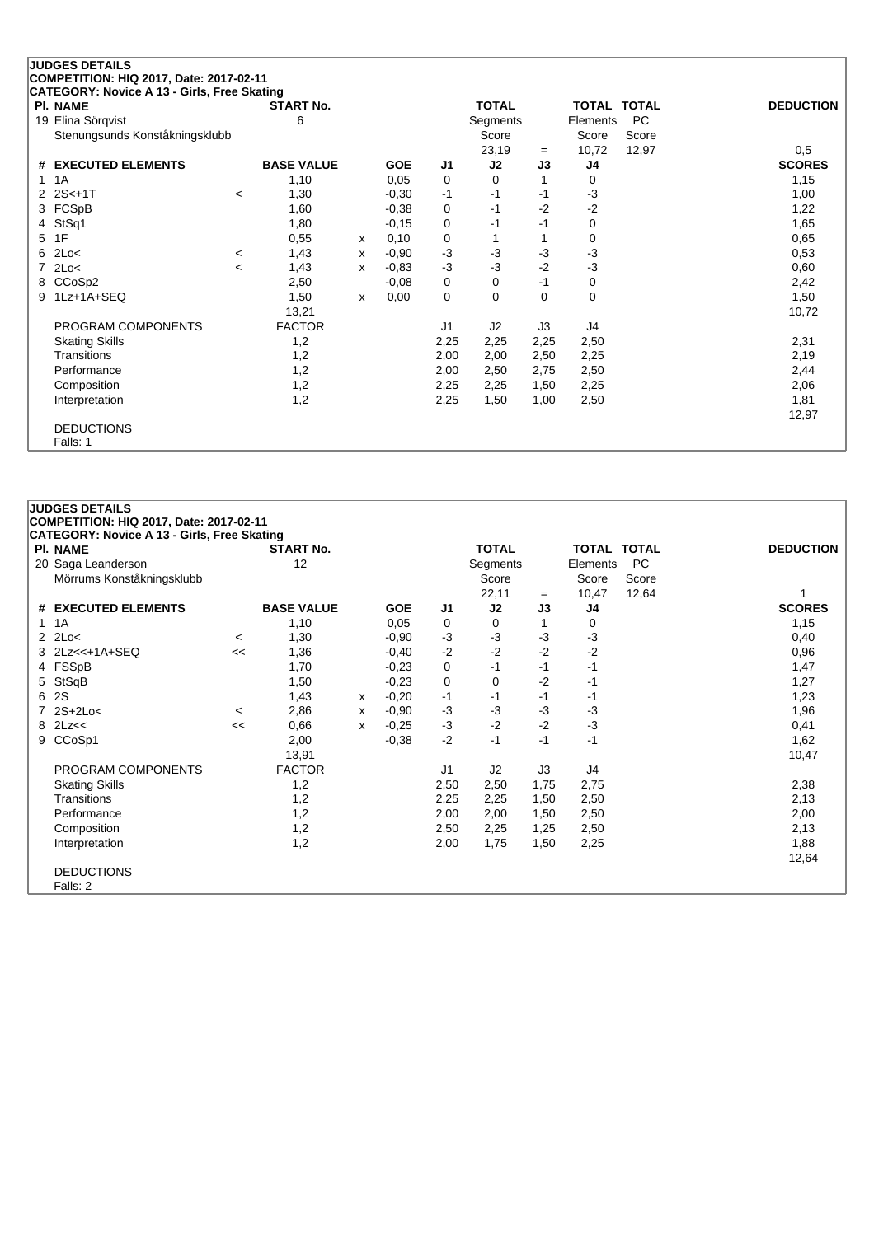|                | <b>JUDGES DETAILS</b>                       |         |                   |              |            |                |              |          |                    |           |                  |
|----------------|---------------------------------------------|---------|-------------------|--------------|------------|----------------|--------------|----------|--------------------|-----------|------------------|
|                | COMPETITION: HIQ 2017, Date: 2017-02-11     |         |                   |              |            |                |              |          |                    |           |                  |
|                | CATEGORY: Novice A 13 - Girls, Free Skating |         |                   |              |            |                |              |          |                    |           |                  |
|                | <b>PI. NAME</b>                             |         | <b>START No.</b>  |              |            |                | <b>TOTAL</b> |          | <b>TOTAL TOTAL</b> |           | <b>DEDUCTION</b> |
| 19             | Elina Sörgvist                              |         | 6                 |              |            |                | Segments     |          | Elements           | <b>PC</b> |                  |
|                | Stenungsunds Konståkningsklubb              |         |                   |              |            |                | Score        |          | Score              | Score     |                  |
|                |                                             |         |                   |              |            |                | 23,19        | $=$      | 10,72              | 12,97     | 0,5              |
| #              | <b>EXECUTED ELEMENTS</b>                    |         | <b>BASE VALUE</b> |              | <b>GOE</b> | J1             | J2           | J3       | J4                 |           | <b>SCORES</b>    |
|                | 1A                                          |         | 1,10              |              | 0,05       | 0              | 0            | 1        | 0                  |           | 1,15             |
|                | $2S< +1T$                                   | $\prec$ | 1,30              |              | $-0,30$    | $-1$           | $-1$         | $-1$     | $-3$               |           | 1,00             |
| 3              | FCSpB                                       |         | 1,60              |              | $-0,38$    | 0              | -1           | $-2$     | $-2$               |           | 1,22             |
| 4              | StSq1                                       |         | 1,80              |              | $-0,15$    | 0              | -1           | $-1$     | 0                  |           | 1,65             |
| 5              | 1F                                          |         | 0,55              | X            | 0,10       | 0              |              |          | 0                  |           | 0,65             |
| 6              | 2Lo<                                        | $\,<\,$ | 1,43              | x            | $-0,90$    | $-3$           | $-3$         | -3       | $-3$               |           | 0,53             |
| $\overline{7}$ | 2Lo<                                        | $\,<\,$ | 1,43              | X            | $-0.83$    | $-3$           | $-3$         | $-2$     | $-3$               |           | 0,60             |
| 8              | CCoSp2                                      |         | 2,50              |              | $-0.08$    | 0              | 0            | $-1$     | 0                  |           | 2,42             |
| 9              | 1Lz+1A+SEQ                                  |         | 1,50              | $\mathsf{x}$ | 0,00       | $\mathbf 0$    | $\Omega$     | $\Omega$ | 0                  |           | 1,50             |
|                |                                             |         | 13,21             |              |            |                |              |          |                    |           | 10,72            |
|                | PROGRAM COMPONENTS                          |         | <b>FACTOR</b>     |              |            | J <sub>1</sub> | J2           | J3       | J4                 |           |                  |
|                | <b>Skating Skills</b>                       |         | 1,2               |              |            | 2,25           | 2,25         | 2,25     | 2,50               |           | 2,31             |
|                | Transitions                                 |         | 1,2               |              |            | 2,00           | 2,00         | 2,50     | 2,25               |           | 2,19             |
|                | Performance                                 |         | 1,2               |              |            | 2,00           | 2,50         | 2,75     | 2,50               |           | 2,44             |
|                | Composition                                 |         | 1,2               |              |            | 2,25           | 2,25         | 1,50     | 2,25               |           | 2,06             |
|                | Interpretation                              |         | 1,2               |              |            | 2,25           | 1,50         | 1,00     | 2,50               |           | 1,81             |
|                |                                             |         |                   |              |            |                |              |          |                    |           | 12,97            |
|                | <b>DEDUCTIONS</b>                           |         |                   |              |            |                |              |          |                    |           |                  |
|                | Falls: 1                                    |         |                   |              |            |                |              |          |                    |           |                  |

|               | <b>JUDGES DETAILS</b>                              |         |                   |   |            |                |              |      |                    |           |                  |
|---------------|----------------------------------------------------|---------|-------------------|---|------------|----------------|--------------|------|--------------------|-----------|------------------|
|               | COMPETITION: HIQ 2017, Date: 2017-02-11            |         |                   |   |            |                |              |      |                    |           |                  |
|               | <b>CATEGORY: Novice A 13 - Girls, Free Skating</b> |         |                   |   |            |                |              |      |                    |           |                  |
|               | <b>PI. NAME</b>                                    |         | <b>START No.</b>  |   |            |                | <b>TOTAL</b> |      | <b>TOTAL TOTAL</b> |           | <b>DEDUCTION</b> |
|               | 20 Saga Leanderson                                 |         | 12                |   |            |                | Segments     |      | Elements           | <b>PC</b> |                  |
|               | Mörrums Konståkningsklubb                          |         |                   |   |            |                | Score        |      | Score              | Score     |                  |
|               |                                                    |         |                   |   |            |                | 22,11        | $=$  | 10,47              | 12,64     |                  |
|               | # EXECUTED ELEMENTS                                |         | <b>BASE VALUE</b> |   | <b>GOE</b> | J <sub>1</sub> | J2           | J3   | J4                 |           | <b>SCORES</b>    |
|               | $1 \t1A$                                           |         | 1,10              |   | 0.05       | 0              | $\Omega$     | 1    | 0                  |           | 1,15             |
| $\mathcal{P}$ | 2Lo<                                               | $\,<\,$ | 1,30              |   | $-0.90$    | $-3$           | -3           | $-3$ | $-3$               |           | 0,40             |
| 3             | $2Lz<<+1A+SEQ$                                     | <<      | 1,36              |   | $-0,40$    | $-2$           | $-2$         | $-2$ | $-2$               |           | 0,96             |
|               | 4 FSSpB                                            |         | 1,70              |   | $-0,23$    | 0              | $-1$         | -1   | $-1$               |           | 1,47             |
| 5             | StSqB                                              |         | 1,50              |   | $-0.23$    | 0              | 0            | $-2$ | $-1$               |           | 1,27             |
| 6.            | 2S                                                 |         | 1,43              | x | $-0,20$    | -1             | -1           | -1   | -1                 |           | 1,23             |
|               | 7 2S+2Lo<                                          | $\prec$ | 2,86              | X | $-0.90$    | $-3$           | $-3$         | -3   | -3                 |           | 1,96             |
|               | $8$ 2Lz $<<$                                       | <<      | 0,66              | X | $-0.25$    | $-3$           | $-2$         | $-2$ | $-3$               |           | 0,41             |
| 9             | CCoSp1                                             |         | 2,00              |   | $-0,38$    | $-2$           | $-1$         | -1   | $-1$               |           | 1,62             |
|               |                                                    |         | 13,91             |   |            |                |              |      |                    |           | 10,47            |
|               | PROGRAM COMPONENTS                                 |         | <b>FACTOR</b>     |   |            | J1             | J2           | J3   | J4                 |           |                  |
|               | <b>Skating Skills</b>                              |         | 1,2               |   |            | 2,50           | 2,50         | 1,75 | 2,75               |           | 2,38             |
|               | Transitions                                        |         | 1,2               |   |            | 2,25           | 2,25         | 1,50 | 2,50               |           | 2,13             |
|               | Performance                                        |         | 1,2               |   |            | 2,00           | 2,00         | 1,50 | 2,50               |           | 2,00             |
|               | Composition                                        |         | 1,2               |   |            | 2,50           | 2,25         | 1,25 | 2,50               |           | 2,13             |
|               | Interpretation                                     |         | 1,2               |   |            | 2,00           | 1,75         | 1,50 | 2,25               |           | 1,88             |
|               |                                                    |         |                   |   |            |                |              |      |                    |           | 12,64            |
|               | <b>DEDUCTIONS</b>                                  |         |                   |   |            |                |              |      |                    |           |                  |
|               | Falls: 2                                           |         |                   |   |            |                |              |      |                    |           |                  |